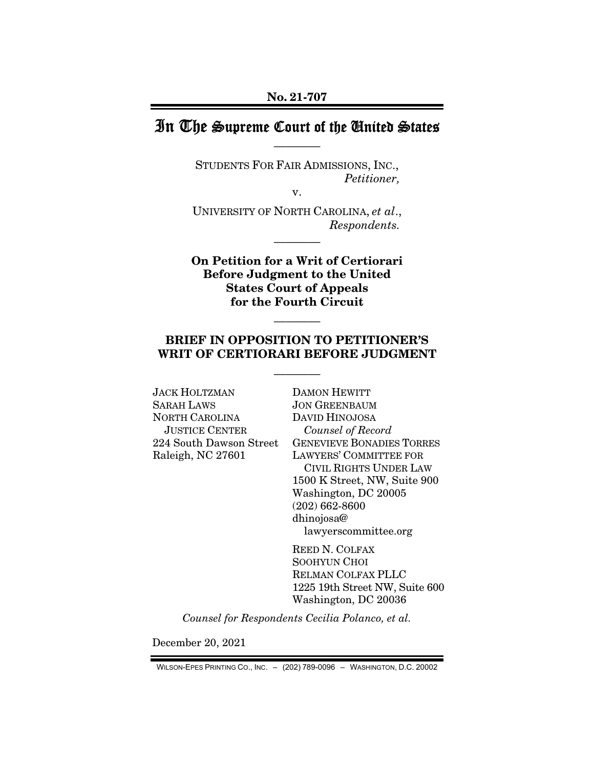# In The Supreme Court of the United States ————

STUDENTS FOR FAIR ADMISSIONS, INC., *Petitioner,* 

v.

UNIVERSITY OF NORTH CAROLINA, *et al*., *Respondents.* 

————

On Petition for a Writ of Certiorari Before Judgment to the United States Court of Appeals for the Fourth Circuit

#### BRIEF IN OPPOSITION TO PETITIONER'S WRIT OF CERTIORARI BEFORE JUDGMENT

————

————

JACK HOLTZMAN SARAH LAWS NORTH CAROLINA JUSTICE CENTER 224 South Dawson Street Raleigh, NC 27601

DAMON HEWITT JON GREENBAUM DAVID HINOJOSA *Counsel of Record*  GENEVIEVE BONADIES TORRES LAWYERS' COMMITTEE FOR CIVIL RIGHTS UNDER LAW 1500 K Street, NW, Suite 900 Washington, DC 20005 (202) 662-8600 dhinojosa@ lawyerscommittee.org

REED N. COLFAX SOOHYUN CHOI RELMAN COLFAX PLLC 1225 19th Street NW, Suite 600 Washington, DC 20036

*Counsel for Respondents Cecilia Polanco, et al.* 

December 20, 2021

WILSON-EPES PRINTING CO., INC. – (202) 789-0096 – WASHINGTON, D.C. 20002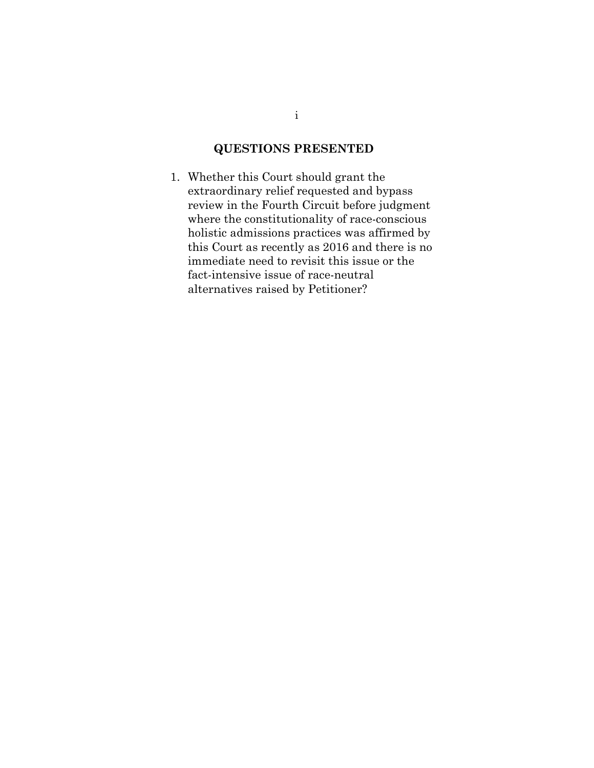# QUESTIONS PRESENTED

1. Whether this Court should grant the extraordinary relief requested and bypass review in the Fourth Circuit before judgment where the constitutionality of race-conscious holistic admissions practices was affirmed by this Court as recently as 2016 and there is no immediate need to revisit this issue or the fact-intensive issue of race-neutral alternatives raised by Petitioner?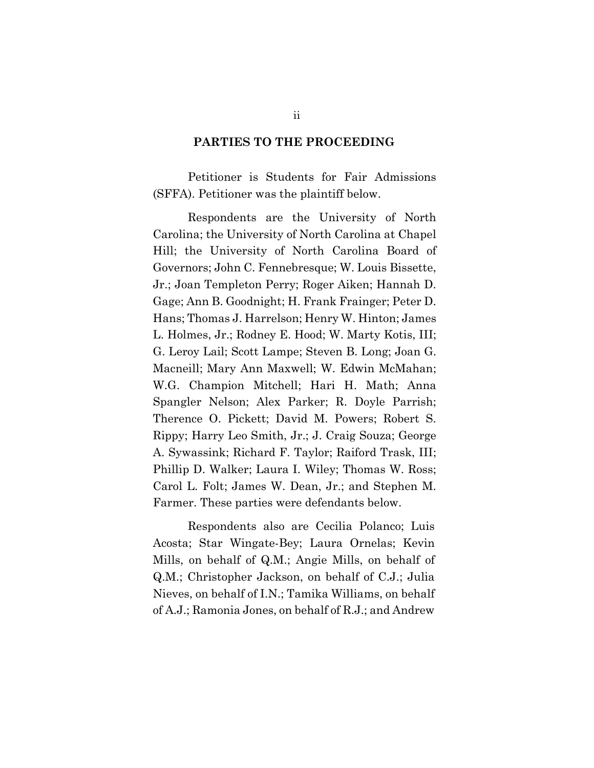#### PARTIES TO THE PROCEEDING

Petitioner is Students for Fair Admissions (SFFA). Petitioner was the plaintiff below.

Respondents are the University of North Carolina; the University of North Carolina at Chapel Hill; the University of North Carolina Board of Governors; John C. Fennebresque; W. Louis Bissette, Jr.; Joan Templeton Perry; Roger Aiken; Hannah D. Gage; Ann B. Goodnight; H. Frank Frainger; Peter D. Hans; Thomas J. Harrelson; Henry W. Hinton; James L. Holmes, Jr.; Rodney E. Hood; W. Marty Kotis, III; G. Leroy Lail; Scott Lampe; Steven B. Long; Joan G. Macneill; Mary Ann Maxwell; W. Edwin McMahan; W.G. Champion Mitchell; Hari H. Math; Anna Spangler Nelson; Alex Parker; R. Doyle Parrish; Therence O. Pickett; David M. Powers; Robert S. Rippy; Harry Leo Smith, Jr.; J. Craig Souza; George A. Sywassink; Richard F. Taylor; Raiford Trask, III; Phillip D. Walker; Laura I. Wiley; Thomas W. Ross; Carol L. Folt; James W. Dean, Jr.; and Stephen M. Farmer. These parties were defendants below.

Respondents also are Cecilia Polanco; Luis Acosta; Star Wingate-Bey; Laura Ornelas; Kevin Mills, on behalf of Q.M.; Angie Mills, on behalf of Q.M.; Christopher Jackson, on behalf of C.J.; Julia Nieves, on behalf of I.N.; Tamika Williams, on behalf of A.J.; Ramonia Jones, on behalf of R.J.; and Andrew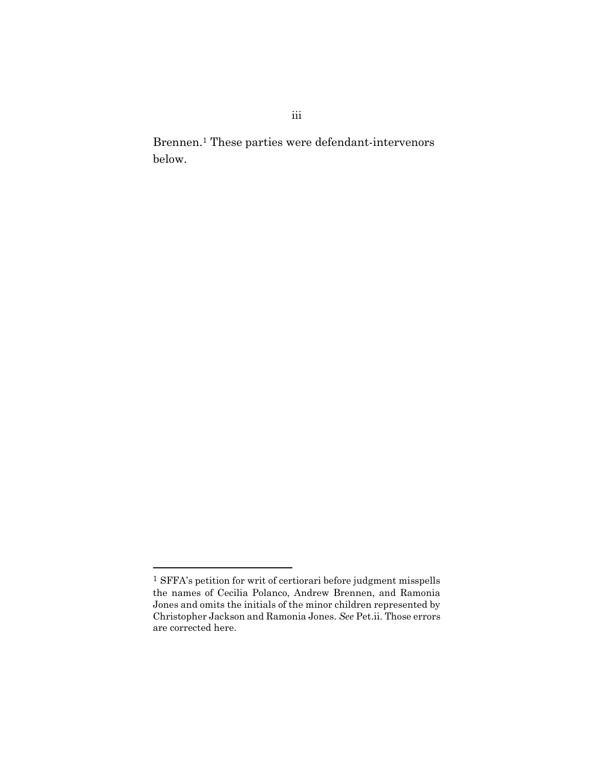Brennen.1 These parties were defendant-intervenors below.

 $^{\rm 1}$  SFFA's petition for writ of certiorari before judgment misspells the names of Cecilia Polanco, Andrew Brennen, and Ramonia Jones and omits the initials of the minor children represented by Christopher Jackson and Ramonia Jones. See Pet.ii. Those errors are corrected here.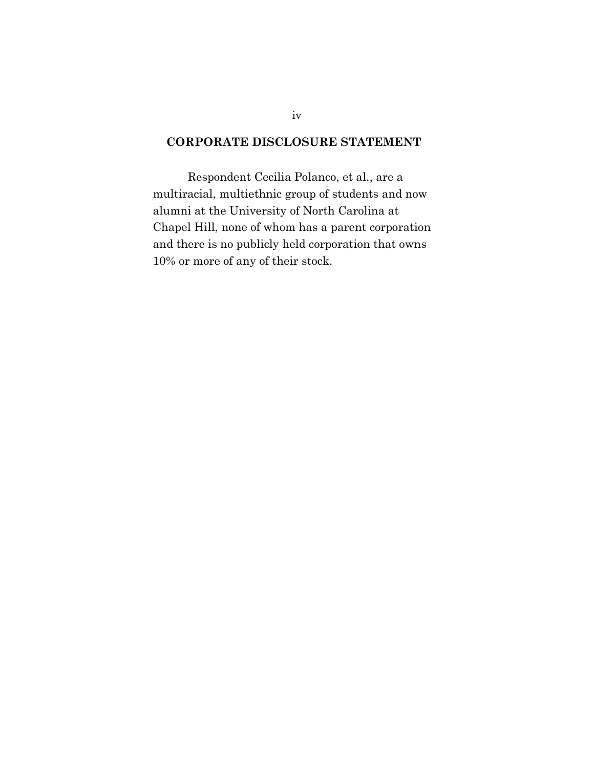## CORPORATE DISCLOSURE STATEMENT

Respondent Cecilia Polanco, et al., are a multiracial, multiethnic group of students and now alumni at the University of North Carolina at Chapel Hill, none of whom has a parent corporation and there is no publicly held corporation that owns 10% or more of any of their stock.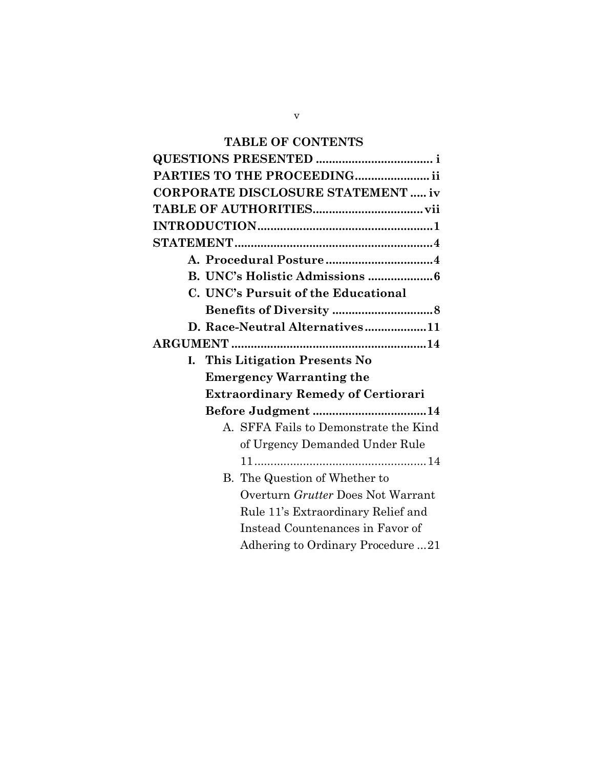# TABLE OF CONTENTS

| PARTIES TO THE PROCEEDING ii              |
|-------------------------------------------|
| <b>CORPORATE DISCLOSURE STATEMENT  iv</b> |
|                                           |
|                                           |
|                                           |
|                                           |
|                                           |
| C. UNC's Pursuit of the Educational       |
|                                           |
| D. Race-Neutral Alternatives11            |
|                                           |
| I. This Litigation Presents No            |
| <b>Emergency Warranting the</b>           |
| <b>Extraordinary Remedy of Certiorari</b> |
| Before Judgment 14                        |
| A. SFFA Fails to Demonstrate the Kind     |
| of Urgency Demanded Under Rule            |
|                                           |
|                                           |
| B. The Question of Whether to             |
| Overturn Grutter Does Not Warrant         |
| Rule 11's Extraordinary Relief and        |
| Instead Countenances in Favor of          |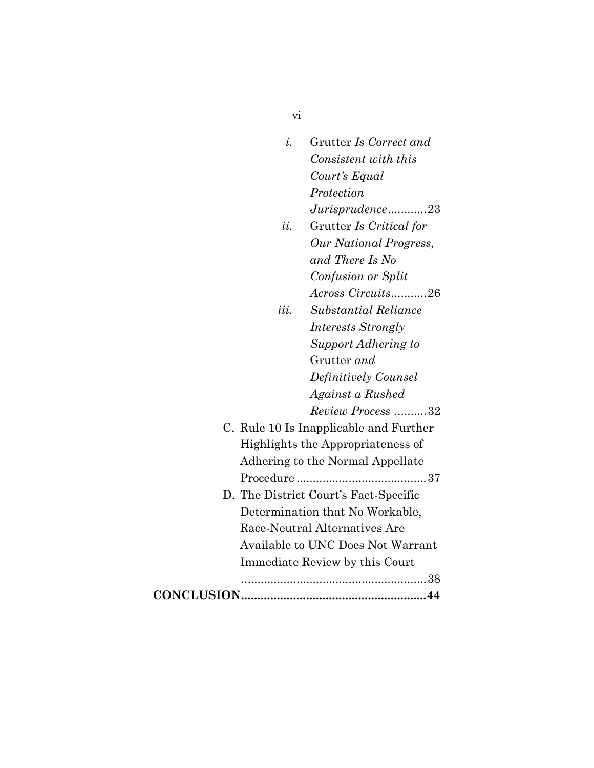| $\dot{i}$ .       | Grutter Is Correct and                 |
|-------------------|----------------------------------------|
|                   | Consistent with this                   |
|                   | Court's Equal                          |
|                   | Protection                             |
|                   | $Juris prudence$ 23                    |
| ii.               | Grutter Is Critical for                |
|                   | Our National Progress,                 |
|                   | and There Is No                        |
|                   | Confusion or Split                     |
|                   | Across Circuits26                      |
| iii.              | Substantial Reliance                   |
|                   | <i>Interests Strongly</i>              |
|                   | Support Adhering to                    |
|                   | Grutter and                            |
|                   | Definitively Counsel                   |
|                   | Against a Rushed                       |
|                   | Review Process 32                      |
|                   | C. Rule 10 Is Inapplicable and Further |
|                   | Highlights the Appropriateness of      |
|                   | Adhering to the Normal Appellate       |
|                   |                                        |
|                   | D. The District Court's Fact-Specific  |
|                   | Determination that No Workable,        |
|                   | Race-Neutral Alternatives Are          |
|                   | Available to UNC Does Not Warrant      |
|                   | Immediate Review by this Court         |
|                   |                                        |
| <b>CONCLUSION</b> | .44                                    |

vi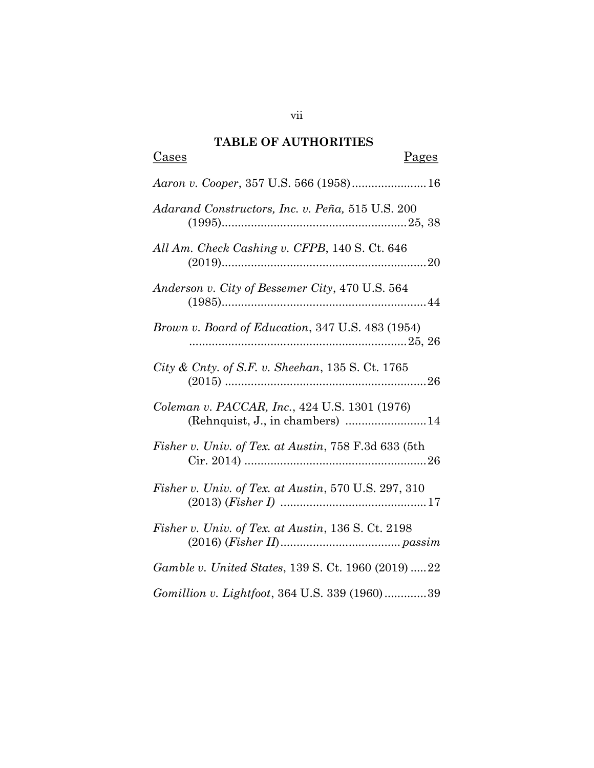# TABLE OF AUTHORITIES

| <u>Pages</u><br>Cases                                                             |
|-----------------------------------------------------------------------------------|
| Aaron v. Cooper, 357 U.S. 566 (1958) 16                                           |
| Adarand Constructors, Inc. v. Peña, 515 U.S. 200                                  |
| All Am. Check Cashing v. CFPB, 140 S. Ct. 646                                     |
| Anderson v. City of Bessemer City, 470 U.S. 564                                   |
| Brown v. Board of Education, 347 U.S. 483 (1954)                                  |
| City & Cnty. of S.F. v. Sheehan, $135$ S. Ct. 1765                                |
| Coleman v. PACCAR, Inc., 424 U.S. 1301 (1976)<br>(Rehnquist, J., in chambers)  14 |
| Fisher v. Univ. of Tex. at Austin, 758 F.3d 633 (5th                              |
| Fisher v. Univ. of Tex. at Austin, 570 U.S. 297, 310                              |
| Fisher v. Univ. of Tex. at Austin, 136 S. Ct. 2198                                |
| <i>Gamble v. United States, 139 S. Ct. 1960 (2019) 22</i>                         |
| Gomillion v. Lightfoot, 364 U.S. 339 (1960)39                                     |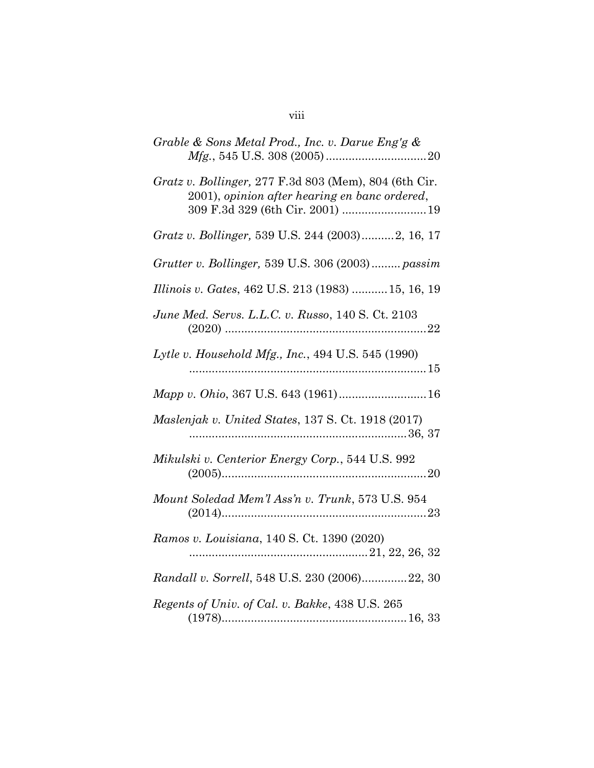| Grable & Sons Metal Prod., Inc. v. Darue Eng'g &                                                                                           |
|--------------------------------------------------------------------------------------------------------------------------------------------|
| Gratz v. Bollinger, 277 F.3d 803 (Mem), 804 (6th Cir.<br>2001), opinion after hearing en banc ordered,<br>309 F.3d 329 (6th Cir. 2001)  19 |
| Gratz v. Bollinger, 539 U.S. 244 (2003)2, 16, 17                                                                                           |
| Grutter v. Bollinger, 539 U.S. 306 (2003)  passim                                                                                          |
| Illinois v. Gates, 462 U.S. 213 (1983)  15, 16, 19                                                                                         |
| June Med. Servs. L.L.C. v. Russo, 140 S. Ct. 2103                                                                                          |
| Lytle v. Household Mfg., Inc., 494 U.S. 545 (1990)                                                                                         |
| Mapp v. Ohio, 367 U.S. 643 (1961) 16                                                                                                       |
| Maslenjak v. United States, 137 S. Ct. 1918 (2017)                                                                                         |
| Mikulski v. Centerior Energy Corp., 544 U.S. 992                                                                                           |
| Mount Soledad Mem'l Ass'n v. Trunk, 573 U.S. 954                                                                                           |
| Ramos v. Louisiana, 140 S. Ct. 1390 (2020)                                                                                                 |
| Randall v. Sorrell, 548 U.S. 230 (2006)22, 30                                                                                              |
| Regents of Univ. of Cal. v. Bakke, 438 U.S. 265                                                                                            |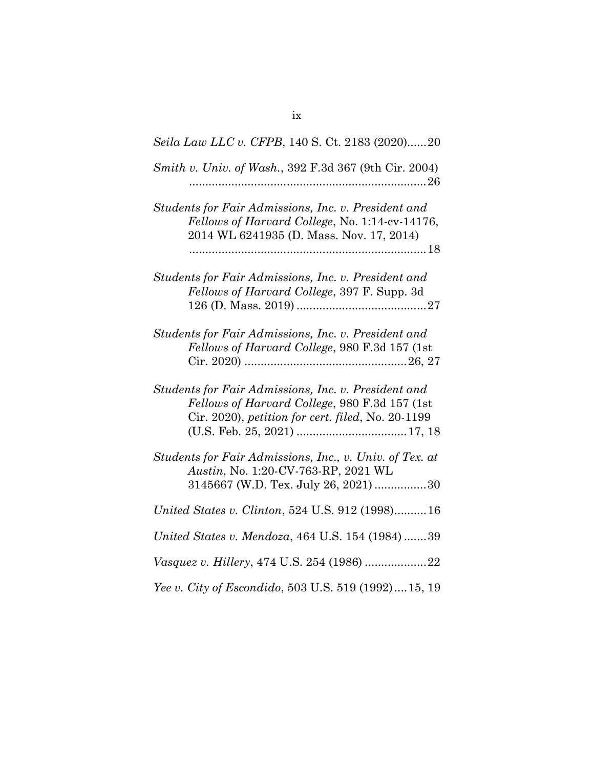| Seila Law LLC v. CFPB, 140 S. Ct. 2183 (2020)20                                                                                                           |
|-----------------------------------------------------------------------------------------------------------------------------------------------------------|
| Smith v. Univ. of Wash., 392 F.3d 367 (9th Cir. 2004)                                                                                                     |
| Students for Fair Admissions, Inc. v. President and<br>Fellows of Harvard College, No. 1:14-cv-14176,<br>2014 WL 6241935 (D. Mass. Nov. 17, 2014)         |
| Students for Fair Admissions, Inc. v. President and<br>Fellows of Harvard College, 397 F. Supp. 3d                                                        |
| Students for Fair Admissions, Inc. v. President and<br>Fellows of Harvard College, 980 F.3d 157 (1st                                                      |
| Students for Fair Admissions, Inc. v. President and<br>Fellows of Harvard College, 980 F.3d 157 (1st<br>Cir. 2020), petition for cert. filed, No. 20-1199 |
| Students for Fair Admissions, Inc., v. Univ. of Tex. at<br>Austin, No. 1:20-CV-763-RP, 2021 WL<br>3145667 (W.D. Tex. July 26, 2021) 30                    |
| United States v. Clinton, 524 U.S. 912 (1998)16                                                                                                           |
| United States v. Mendoza, 464 U.S. 154 (1984)39                                                                                                           |
|                                                                                                                                                           |
| Yee v. City of Escondido, 503 U.S. 519 (1992)15, 19                                                                                                       |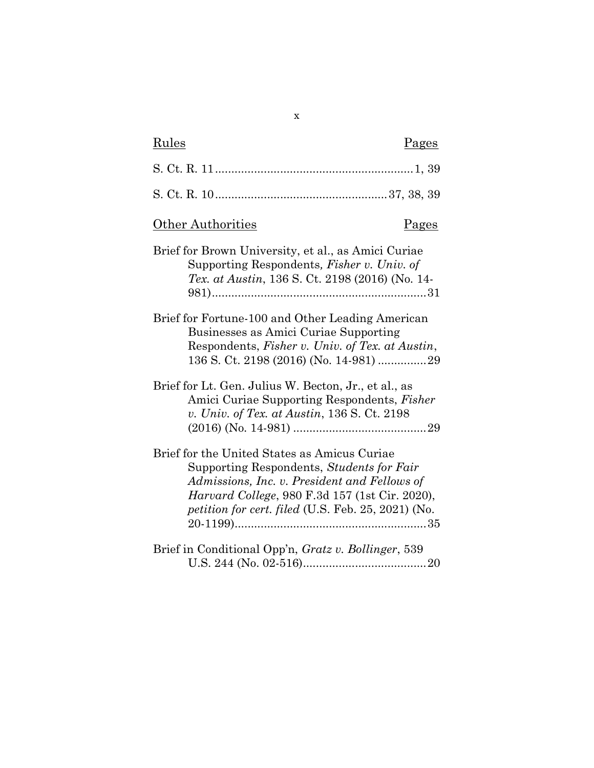| Rules<br>Pages                                                                                                                                                                                                                                            |
|-----------------------------------------------------------------------------------------------------------------------------------------------------------------------------------------------------------------------------------------------------------|
|                                                                                                                                                                                                                                                           |
|                                                                                                                                                                                                                                                           |
| <b>Other Authorities</b><br><u>Pages</u>                                                                                                                                                                                                                  |
| Brief for Brown University, et al., as Amici Curiae<br>Supporting Respondents, Fisher v. Univ. of<br><i>Tex. at Austin,</i> 136 S. Ct. 2198 (2016) (No. 14-                                                                                               |
| Brief for Fortune-100 and Other Leading American<br>Businesses as Amici Curiae Supporting<br>Respondents, Fisher v. Univ. of Tex. at Austin,                                                                                                              |
| Brief for Lt. Gen. Julius W. Becton, Jr., et al., as<br>Amici Curiae Supporting Respondents, <i>Fisher</i><br>v. Univ. of Tex. at Austin, 136 S. Ct. 2198                                                                                                 |
| Brief for the United States as Amicus Curiae<br>Supporting Respondents, Students for Fair<br>Admissions, Inc. v. President and Fellows of<br><i>Harvard College</i> , 980 F.3d 157 (1st Cir. 2020),<br>petition for cert. filed (U.S. Feb. 25, 2021) (No. |
| Brief in Conditional Opp'n, Gratz v. Bollinger, 539                                                                                                                                                                                                       |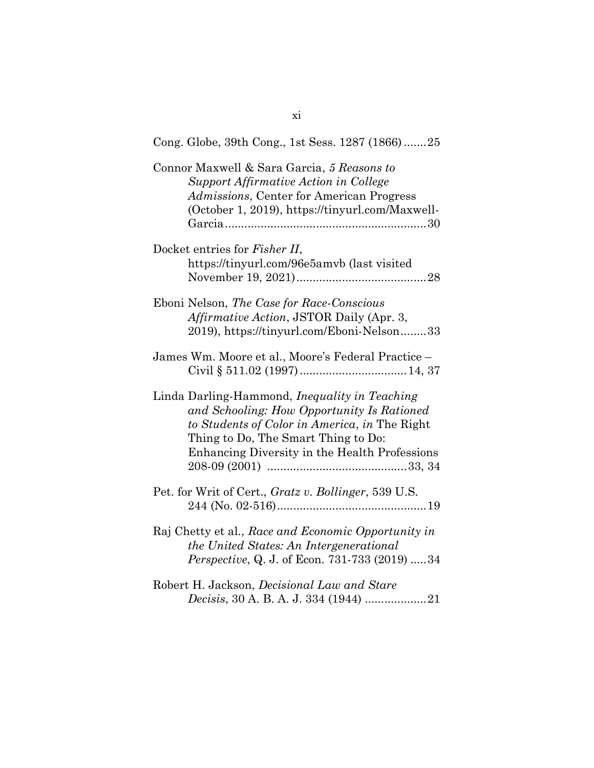| Cong. Globe, 39th Cong., 1st Sess. 1287 (1866)25                                                                                                                                                                                            |
|---------------------------------------------------------------------------------------------------------------------------------------------------------------------------------------------------------------------------------------------|
| Connor Maxwell & Sara Garcia, 5 Reasons to<br>Support Affirmative Action in College<br>Admissions, Center for American Progress<br>(October 1, 2019), https://tinyurl.com/Maxwell-                                                          |
| Docket entries for Fisher II,<br>https://tinyurl.com/96e5amvb (last visited                                                                                                                                                                 |
| Eboni Nelson, The Case for Race-Conscious<br><i>Affirmative Action, JSTOR Daily (Apr. 3,</i><br>2019), https://tinyurl.com/Eboni-Nelson33                                                                                                   |
| James Wm. Moore et al., Moore's Federal Practice -                                                                                                                                                                                          |
| Linda Darling-Hammond, <i>Inequality in Teaching</i><br>and Schooling: How Opportunity Is Rationed<br>to Students of Color in America, in The Right<br>Thing to Do, The Smart Thing to Do:<br>Enhancing Diversity in the Health Professions |
| Pet. for Writ of Cert., Gratz v. Bollinger, 539 U.S.                                                                                                                                                                                        |
| Raj Chetty et al., Race and Economic Opportunity in<br>the United States: An Intergenerational<br><i>Perspective</i> , Q. J. of Econ. 731-733 (2019) 34                                                                                     |
| Robert H. Jackson, Decisional Law and Stare<br>Decisis, 30 A. B. A. J. 334 (1944) 21                                                                                                                                                        |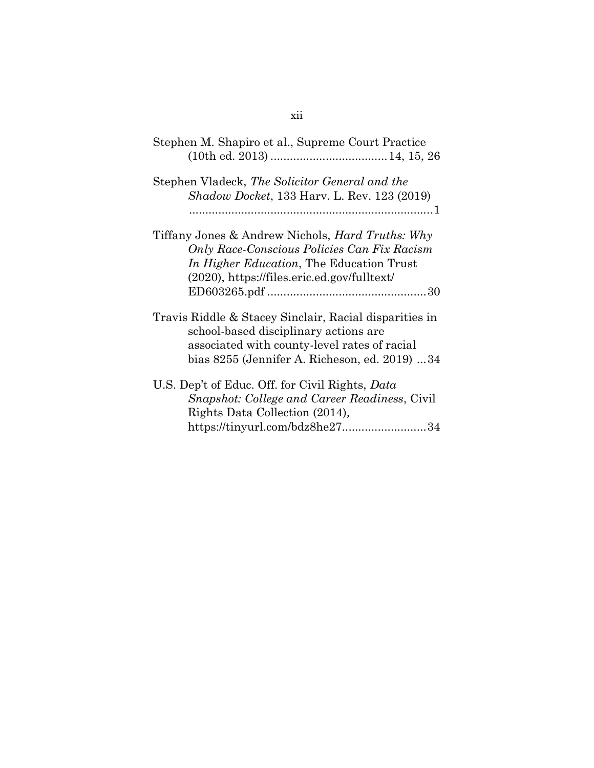| Stephen M. Shapiro et al., Supreme Court Practice                                                                                                                                                            |
|--------------------------------------------------------------------------------------------------------------------------------------------------------------------------------------------------------------|
| Stephen Vladeck, The Solicitor General and the<br><i>Shadow Docket</i> , 133 Harv. L. Rev. 123 (2019)                                                                                                        |
| Tiffany Jones & Andrew Nichols, <i>Hard Truths: Why</i><br>Only Race-Conscious Policies Can Fix Racism<br><i>In Higher Education</i> , The Education Trust<br>$(2020)$ , https://files.eric.ed.gov/fulltext/ |
| Travis Riddle & Stacey Sinclair, Racial disparities in<br>school-based disciplinary actions are<br>associated with county-level rates of racial<br>bias 8255 (Jennifer A. Richeson, ed. 2019) 34             |
| U.S. Dep't of Educ. Off. for Civil Rights, Data<br>Snapshot: College and Career Readiness, Civil<br>Rights Data Collection (2014),<br>https://tinyurl.com/bdz8he2734                                         |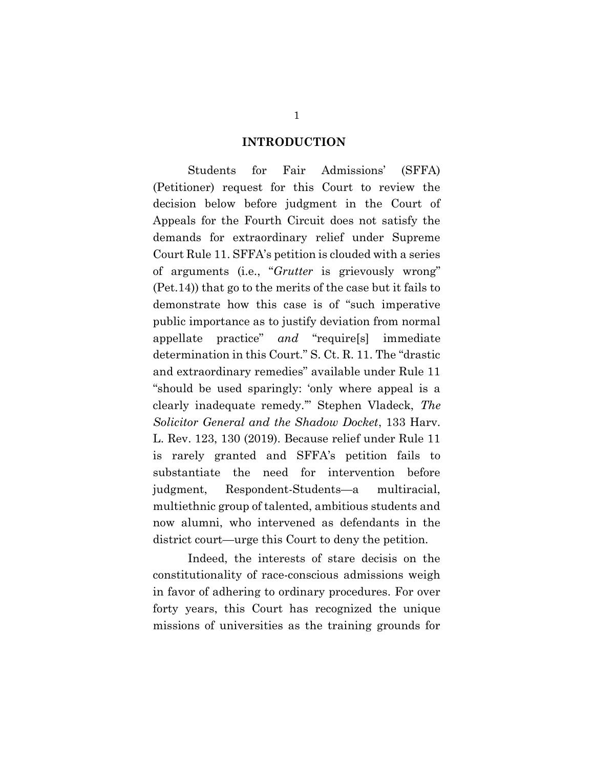#### INTRODUCTION

Students for Fair Admissions' (SFFA) (Petitioner) request for this Court to review the decision below before judgment in the Court of Appeals for the Fourth Circuit does not satisfy the demands for extraordinary relief under Supreme Court Rule 11. SFFA's petition is clouded with a series of arguments (i.e., "Grutter is grievously wrong" (Pet.14)) that go to the merits of the case but it fails to demonstrate how this case is of "such imperative public importance as to justify deviation from normal appellate practice" and "require[s] immediate determination in this Court." S. Ct. R. 11. The "drastic and extraordinary remedies" available under Rule 11 "should be used sparingly: 'only where appeal is a clearly inadequate remedy.'" Stephen Vladeck, The Solicitor General and the Shadow Docket, 133 Harv. L. Rev. 123, 130 (2019). Because relief under Rule 11 is rarely granted and SFFA's petition fails to substantiate the need for intervention before judgment, Respondent-Students—a multiracial, multiethnic group of talented, ambitious students and now alumni, who intervened as defendants in the district court—urge this Court to deny the petition.

Indeed, the interests of stare decisis on the constitutionality of race-conscious admissions weigh in favor of adhering to ordinary procedures. For over forty years, this Court has recognized the unique missions of universities as the training grounds for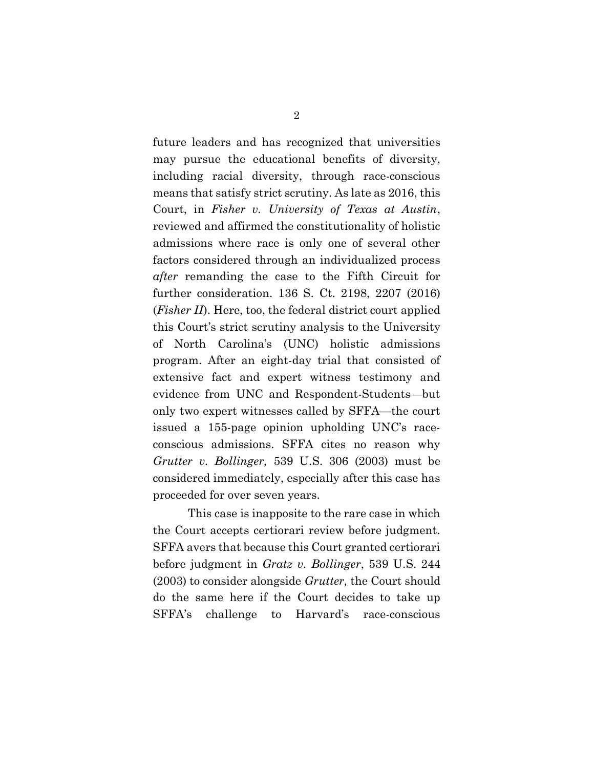future leaders and has recognized that universities may pursue the educational benefits of diversity, including racial diversity, through race-conscious means that satisfy strict scrutiny. As late as 2016, this Court, in Fisher v. University of Texas at Austin, reviewed and affirmed the constitutionality of holistic admissions where race is only one of several other factors considered through an individualized process after remanding the case to the Fifth Circuit for further consideration. 136 S. Ct. 2198, 2207 (2016) (Fisher II). Here, too, the federal district court applied this Court's strict scrutiny analysis to the University of North Carolina's (UNC) holistic admissions program. After an eight-day trial that consisted of extensive fact and expert witness testimony and evidence from UNC and Respondent-Students—but only two expert witnesses called by SFFA—the court issued a 155-page opinion upholding UNC's raceconscious admissions. SFFA cites no reason why Grutter v. Bollinger, 539 U.S. 306 (2003) must be considered immediately, especially after this case has proceeded for over seven years.

This case is inapposite to the rare case in which the Court accepts certiorari review before judgment. SFFA avers that because this Court granted certiorari before judgment in Gratz v. Bollinger, 539 U.S. 244 (2003) to consider alongside Grutter, the Court should do the same here if the Court decides to take up SFFA's challenge to Harvard's race-conscious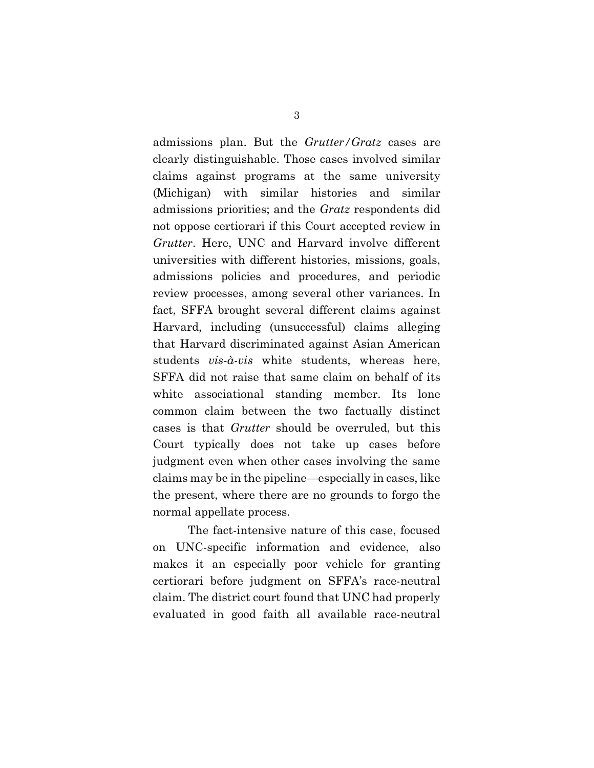admissions plan. But the Grutter/Gratz cases are clearly distinguishable. Those cases involved similar claims against programs at the same university (Michigan) with similar histories and similar admissions priorities; and the Gratz respondents did not oppose certiorari if this Court accepted review in Grutter. Here, UNC and Harvard involve different universities with different histories, missions, goals, admissions policies and procedures, and periodic review processes, among several other variances. In fact, SFFA brought several different claims against Harvard, including (unsuccessful) claims alleging that Harvard discriminated against Asian American students vis-à-vis white students, whereas here, SFFA did not raise that same claim on behalf of its white associational standing member. Its lone common claim between the two factually distinct cases is that Grutter should be overruled, but this Court typically does not take up cases before judgment even when other cases involving the same claims may be in the pipeline—especially in cases, like the present, where there are no grounds to forgo the normal appellate process.

The fact-intensive nature of this case, focused on UNC-specific information and evidence, also makes it an especially poor vehicle for granting certiorari before judgment on SFFA's race-neutral claim. The district court found that UNC had properly evaluated in good faith all available race-neutral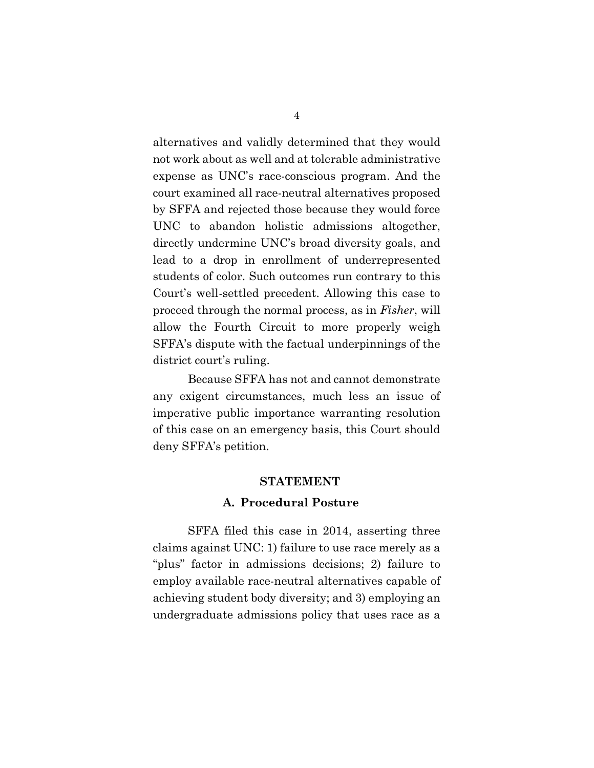alternatives and validly determined that they would not work about as well and at tolerable administrative expense as UNC's race-conscious program. And the court examined all race-neutral alternatives proposed by SFFA and rejected those because they would force UNC to abandon holistic admissions altogether, directly undermine UNC's broad diversity goals, and lead to a drop in enrollment of underrepresented students of color. Such outcomes run contrary to this Court's well-settled precedent. Allowing this case to proceed through the normal process, as in Fisher, will allow the Fourth Circuit to more properly weigh SFFA's dispute with the factual underpinnings of the district court's ruling.

Because SFFA has not and cannot demonstrate any exigent circumstances, much less an issue of imperative public importance warranting resolution of this case on an emergency basis, this Court should deny SFFA's petition.

#### STATEMENT

### A. Procedural Posture

SFFA filed this case in 2014, asserting three claims against UNC: 1) failure to use race merely as a "plus" factor in admissions decisions; 2) failure to employ available race-neutral alternatives capable of achieving student body diversity; and 3) employing an undergraduate admissions policy that uses race as a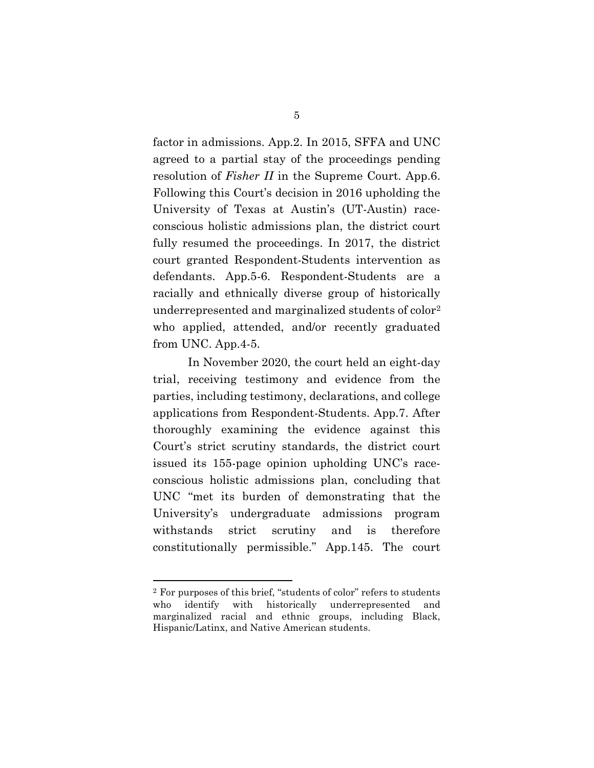factor in admissions. App.2. In 2015, SFFA and UNC agreed to a partial stay of the proceedings pending resolution of Fisher II in the Supreme Court. App.6. Following this Court's decision in 2016 upholding the University of Texas at Austin's (UT-Austin) raceconscious holistic admissions plan, the district court fully resumed the proceedings. In 2017, the district court granted Respondent-Students intervention as defendants. App.5-6. Respondent-Students are a racially and ethnically diverse group of historically underrepresented and marginalized students of color<sup>2</sup> who applied, attended, and/or recently graduated from UNC. App.4-5.

In November 2020, the court held an eight-day trial, receiving testimony and evidence from the parties, including testimony, declarations, and college applications from Respondent-Students. App.7. After thoroughly examining the evidence against this Court's strict scrutiny standards, the district court issued its 155-page opinion upholding UNC's raceconscious holistic admissions plan, concluding that UNC "met its burden of demonstrating that the University's undergraduate admissions program withstands strict scrutiny and is therefore constitutionally permissible." App.145. The court

<sup>2</sup> For purposes of this brief, "students of color" refers to students who identify with historically underrepresented and marginalized racial and ethnic groups, including Black, Hispanic/Latinx, and Native American students.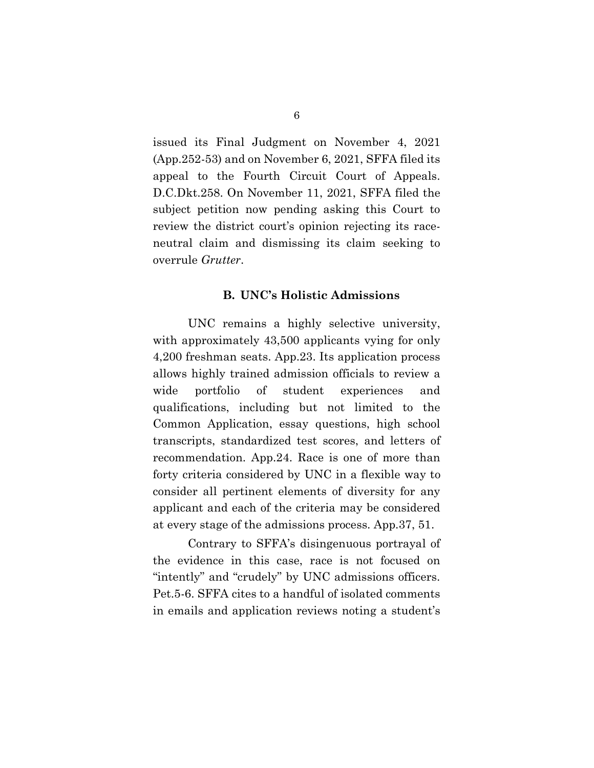issued its Final Judgment on November 4, 2021 (App.252-53) and on November 6, 2021, SFFA filed its appeal to the Fourth Circuit Court of Appeals. D.C.Dkt.258. On November 11, 2021, SFFA filed the subject petition now pending asking this Court to review the district court's opinion rejecting its raceneutral claim and dismissing its claim seeking to overrule Grutter.

#### B. UNC's Holistic Admissions

UNC remains a highly selective university, with approximately 43,500 applicants vying for only 4,200 freshman seats. App.23. Its application process allows highly trained admission officials to review a wide portfolio of student experiences and qualifications, including but not limited to the Common Application, essay questions, high school transcripts, standardized test scores, and letters of recommendation. App.24. Race is one of more than forty criteria considered by UNC in a flexible way to consider all pertinent elements of diversity for any applicant and each of the criteria may be considered at every stage of the admissions process. App.37, 51.

Contrary to SFFA's disingenuous portrayal of the evidence in this case, race is not focused on "intently" and "crudely" by UNC admissions officers. Pet.5-6. SFFA cites to a handful of isolated comments in emails and application reviews noting a student's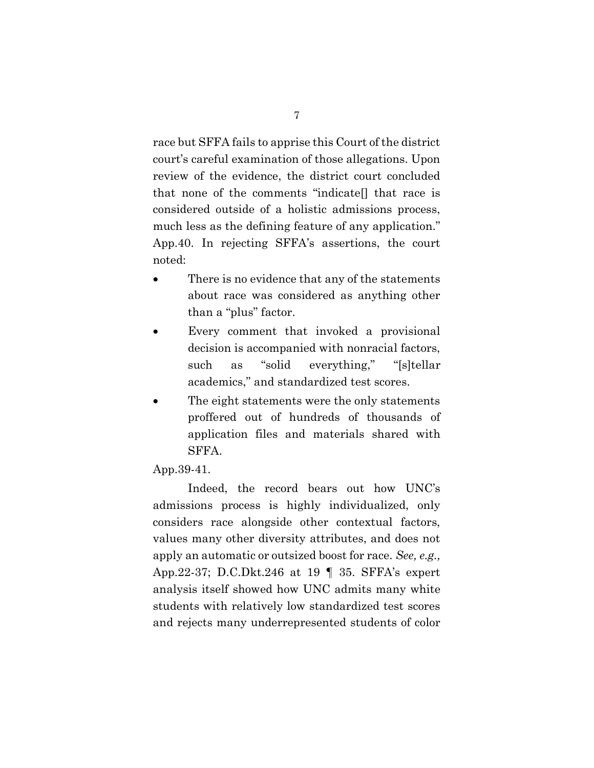race but SFFA fails to apprise this Court of the district court's careful examination of those allegations. Upon review of the evidence, the district court concluded that none of the comments "indicate[] that race is considered outside of a holistic admissions process, much less as the defining feature of any application." App.40. In rejecting SFFA's assertions, the court noted:

- There is no evidence that any of the statements about race was considered as anything other than a "plus" factor.
- Every comment that invoked a provisional decision is accompanied with nonracial factors, such as "solid everything," "[s]tellar academics," and standardized test scores.
- The eight statements were the only statements proffered out of hundreds of thousands of application files and materials shared with SFFA.

#### App.39-41.

Indeed, the record bears out how UNC's admissions process is highly individualized, only considers race alongside other contextual factors, values many other diversity attributes, and does not apply an automatic or outsized boost for race. See, e.g., App.22-37; D.C.Dkt.246 at 19 ¶ 35. SFFA's expert analysis itself showed how UNC admits many white students with relatively low standardized test scores and rejects many underrepresented students of color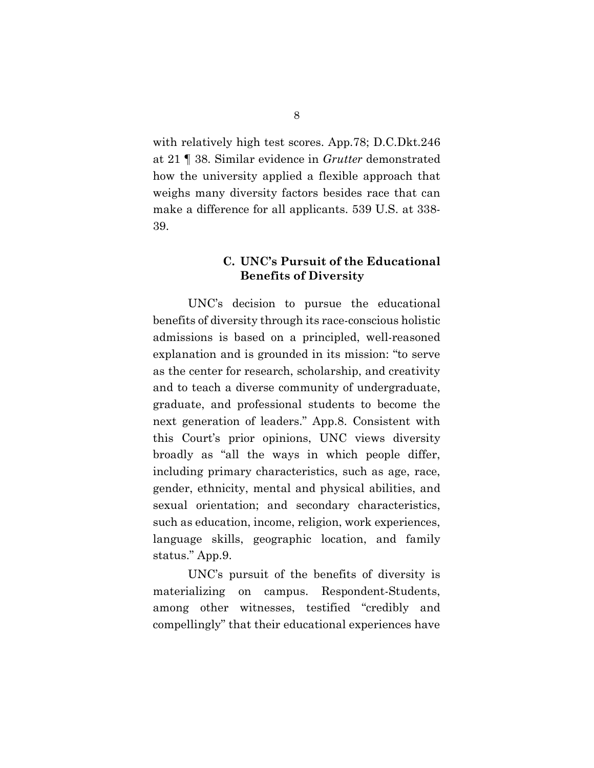with relatively high test scores. App.78; D.C.Dkt.246 at 21 ¶ 38. Similar evidence in Grutter demonstrated how the university applied a flexible approach that weighs many diversity factors besides race that can make a difference for all applicants. 539 U.S. at 338- 39.

## C. UNC's Pursuit of the Educational Benefits of Diversity

UNC's decision to pursue the educational benefits of diversity through its race-conscious holistic admissions is based on a principled, well-reasoned explanation and is grounded in its mission: "to serve as the center for research, scholarship, and creativity and to teach a diverse community of undergraduate, graduate, and professional students to become the next generation of leaders." App.8. Consistent with this Court's prior opinions, UNC views diversity broadly as "all the ways in which people differ, including primary characteristics, such as age, race, gender, ethnicity, mental and physical abilities, and sexual orientation; and secondary characteristics, such as education, income, religion, work experiences, language skills, geographic location, and family status." App.9.

UNC's pursuit of the benefits of diversity is materializing on campus. Respondent-Students, among other witnesses, testified "credibly and compellingly" that their educational experiences have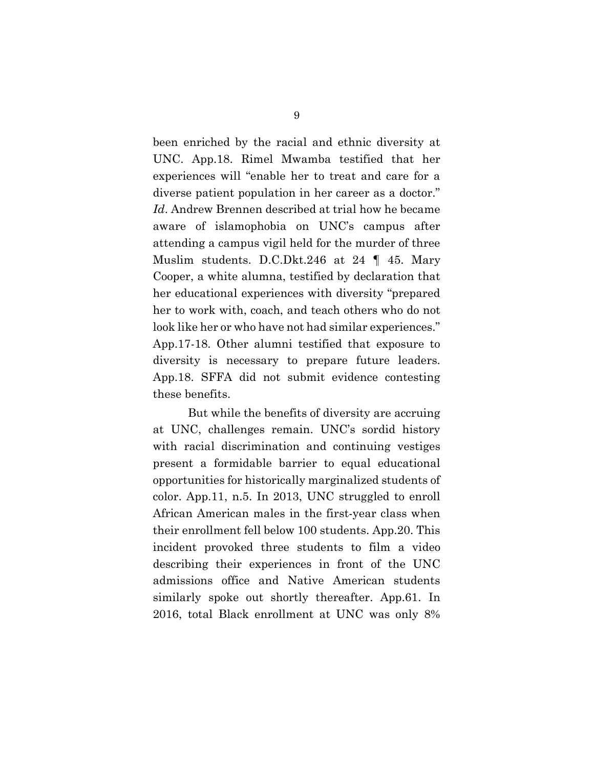been enriched by the racial and ethnic diversity at UNC. App.18. Rimel Mwamba testified that her experiences will "enable her to treat and care for a diverse patient population in her career as a doctor." Id. Andrew Brennen described at trial how he became aware of islamophobia on UNC's campus after attending a campus vigil held for the murder of three Muslim students. D.C.Dkt.246 at 24 ¶ 45. Mary Cooper, a white alumna, testified by declaration that her educational experiences with diversity "prepared her to work with, coach, and teach others who do not look like her or who have not had similar experiences." App.17-18. Other alumni testified that exposure to diversity is necessary to prepare future leaders. App.18. SFFA did not submit evidence contesting these benefits.

But while the benefits of diversity are accruing at UNC, challenges remain. UNC's sordid history with racial discrimination and continuing vestiges present a formidable barrier to equal educational opportunities for historically marginalized students of color. App.11, n.5. In 2013, UNC struggled to enroll African American males in the first-year class when their enrollment fell below 100 students. App.20. This incident provoked three students to film a video describing their experiences in front of the UNC admissions office and Native American students similarly spoke out shortly thereafter. App.61. In 2016, total Black enrollment at UNC was only 8%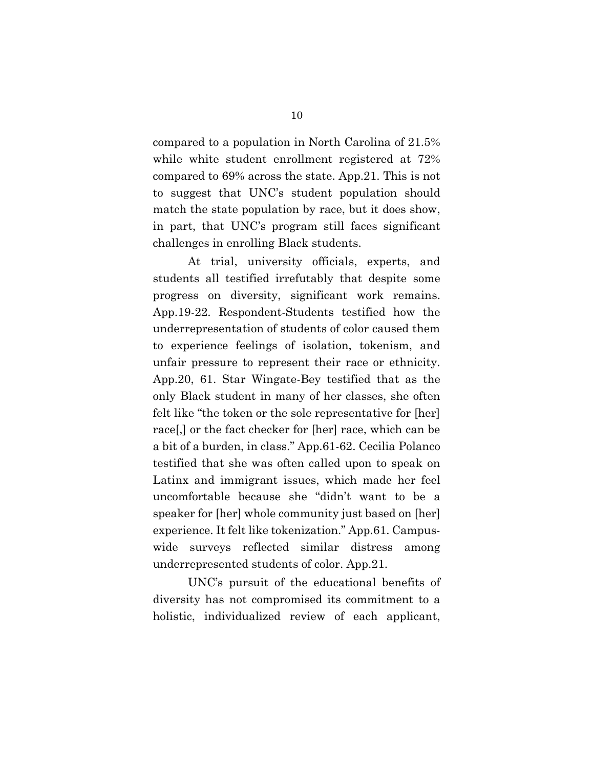compared to a population in North Carolina of 21.5% while white student enrollment registered at 72% compared to 69% across the state. App.21. This is not to suggest that UNC's student population should match the state population by race, but it does show, in part, that UNC's program still faces significant challenges in enrolling Black students.

At trial, university officials, experts, and students all testified irrefutably that despite some progress on diversity, significant work remains. App.19-22. Respondent-Students testified how the underrepresentation of students of color caused them to experience feelings of isolation, tokenism, and unfair pressure to represent their race or ethnicity. App.20, 61. Star Wingate-Bey testified that as the only Black student in many of her classes, she often felt like "the token or the sole representative for [her] race[,] or the fact checker for [her] race, which can be a bit of a burden, in class." App.61-62. Cecilia Polanco testified that she was often called upon to speak on Latinx and immigrant issues, which made her feel uncomfortable because she "didn't want to be a speaker for [her] whole community just based on [her] experience. It felt like tokenization." App.61. Campuswide surveys reflected similar distress among underrepresented students of color. App.21.

UNC's pursuit of the educational benefits of diversity has not compromised its commitment to a holistic, individualized review of each applicant,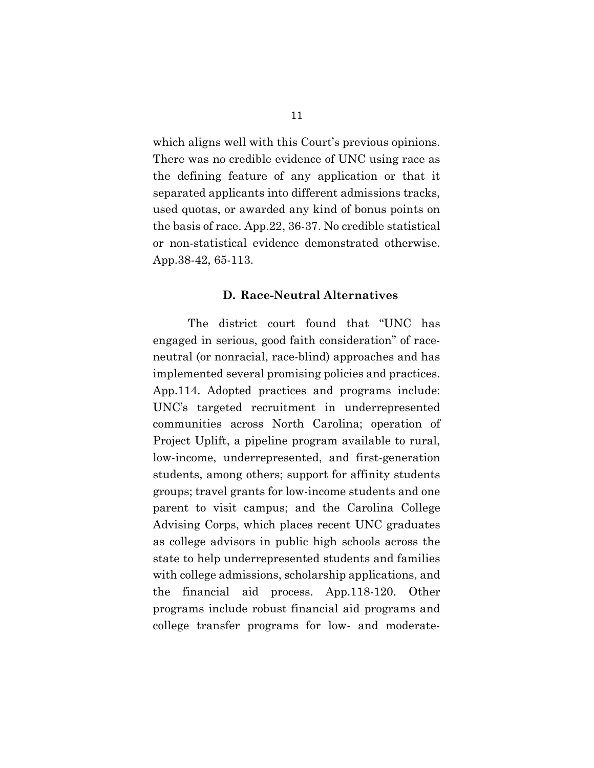which aligns well with this Court's previous opinions. There was no credible evidence of UNC using race as the defining feature of any application or that it separated applicants into different admissions tracks, used quotas, or awarded any kind of bonus points on the basis of race. App.22, 36-37. No credible statistical or non-statistical evidence demonstrated otherwise. App.38-42, 65-113.

#### D. Race-Neutral Alternatives

The district court found that "UNC has engaged in serious, good faith consideration" of raceneutral (or nonracial, race-blind) approaches and has implemented several promising policies and practices. App.114. Adopted practices and programs include: UNC's targeted recruitment in underrepresented communities across North Carolina; operation of Project Uplift, a pipeline program available to rural, low-income, underrepresented, and first-generation students, among others; support for affinity students groups; travel grants for low-income students and one parent to visit campus; and the Carolina College Advising Corps, which places recent UNC graduates as college advisors in public high schools across the state to help underrepresented students and families with college admissions, scholarship applications, and the financial aid process. App.118-120. Other programs include robust financial aid programs and college transfer programs for low- and moderate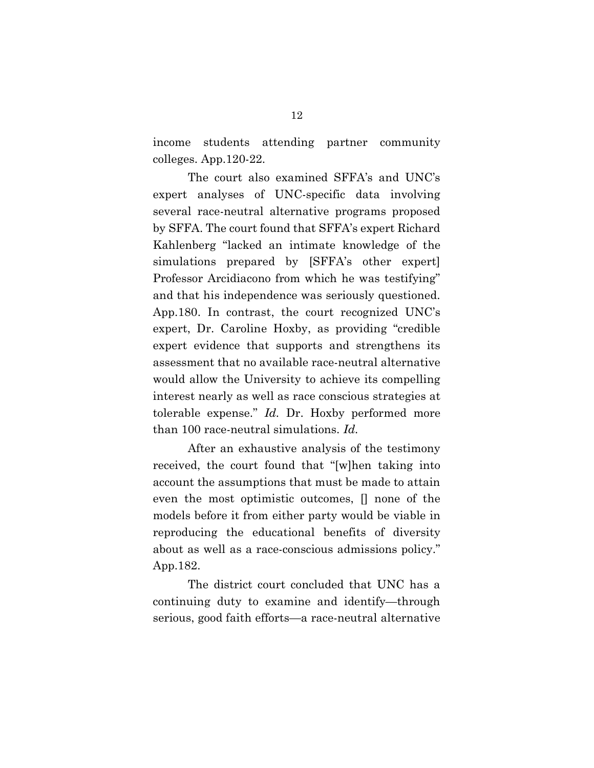income students attending partner community colleges. App.120-22.

The court also examined SFFA's and UNC's expert analyses of UNC-specific data involving several race-neutral alternative programs proposed by SFFA. The court found that SFFA's expert Richard Kahlenberg "lacked an intimate knowledge of the simulations prepared by [SFFA's other expert] Professor Arcidiacono from which he was testifying" and that his independence was seriously questioned. App.180. In contrast, the court recognized UNC's expert, Dr. Caroline Hoxby, as providing "credible expert evidence that supports and strengthens its assessment that no available race-neutral alternative would allow the University to achieve its compelling interest nearly as well as race conscious strategies at tolerable expense." Id. Dr. Hoxby performed more than 100 race-neutral simulations. Id.

After an exhaustive analysis of the testimony received, the court found that "[w]hen taking into account the assumptions that must be made to attain even the most optimistic outcomes, [] none of the models before it from either party would be viable in reproducing the educational benefits of diversity about as well as a race-conscious admissions policy." App.182.

The district court concluded that UNC has a continuing duty to examine and identify—through serious, good faith efforts—a race-neutral alternative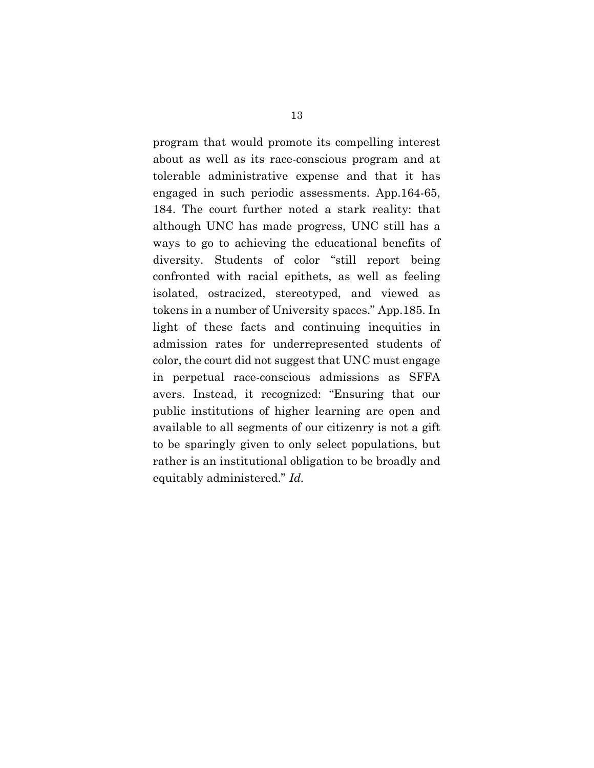program that would promote its compelling interest about as well as its race-conscious program and at tolerable administrative expense and that it has engaged in such periodic assessments. App.164-65, 184. The court further noted a stark reality: that although UNC has made progress, UNC still has a ways to go to achieving the educational benefits of diversity. Students of color "still report being confronted with racial epithets, as well as feeling isolated, ostracized, stereotyped, and viewed as tokens in a number of University spaces." App.185. In light of these facts and continuing inequities in admission rates for underrepresented students of color, the court did not suggest that UNC must engage in perpetual race-conscious admissions as SFFA avers. Instead, it recognized: "Ensuring that our public institutions of higher learning are open and available to all segments of our citizenry is not a gift to be sparingly given to only select populations, but rather is an institutional obligation to be broadly and equitably administered." Id.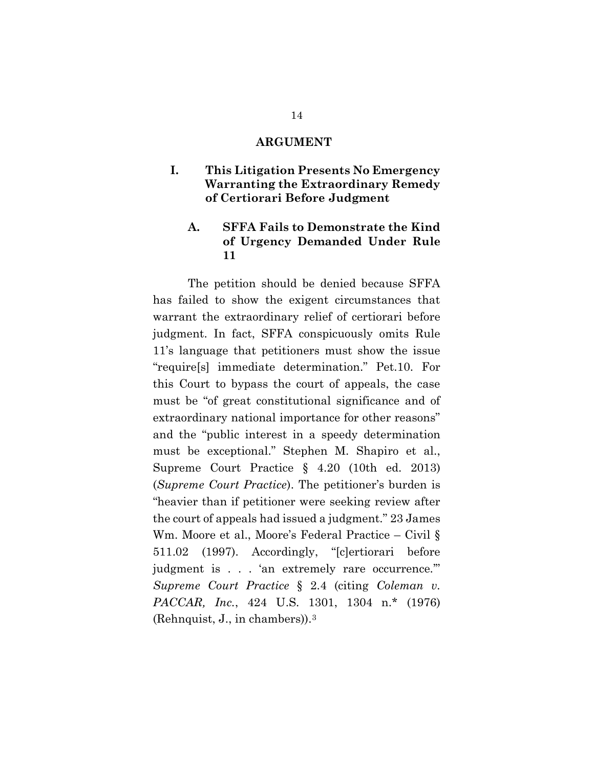#### ARGUMENT

## I. This Litigation Presents No Emergency Warranting the Extraordinary Remedy of Certiorari Before Judgment

## A. SFFA Fails to Demonstrate the Kind of Urgency Demanded Under Rule 11

The petition should be denied because SFFA has failed to show the exigent circumstances that warrant the extraordinary relief of certiorari before judgment. In fact, SFFA conspicuously omits Rule 11's language that petitioners must show the issue "require[s] immediate determination." Pet.10. For this Court to bypass the court of appeals, the case must be "of great constitutional significance and of extraordinary national importance for other reasons" and the "public interest in a speedy determination must be exceptional." Stephen M. Shapiro et al., Supreme Court Practice § 4.20 (10th ed. 2013) (Supreme Court Practice). The petitioner's burden is "heavier than if petitioner were seeking review after the court of appeals had issued a judgment." 23 James Wm. Moore et al., Moore's Federal Practice – Civil § 511.02 (1997). Accordingly, "[c]ertiorari before judgment is . . . 'an extremely rare occurrence.'" Supreme Court Practice § 2.4 (citing Coleman v. PACCAR, Inc., 424 U.S. 1301, 1304 n.\* (1976) (Rehnquist, J., in chambers)).3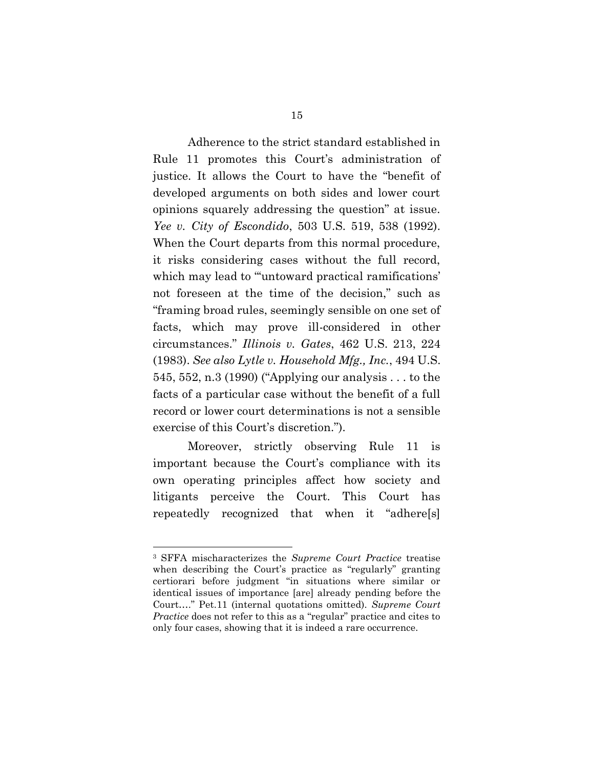Adherence to the strict standard established in Rule 11 promotes this Court's administration of justice. It allows the Court to have the "benefit of developed arguments on both sides and lower court opinions squarely addressing the question" at issue. Yee v. City of Escondido, 503 U.S. 519, 538 (1992). When the Court departs from this normal procedure, it risks considering cases without the full record, which may lead to "untoward practical ramifications' not foreseen at the time of the decision," such as "framing broad rules, seemingly sensible on one set of facts, which may prove ill-considered in other circumstances." Illinois v. Gates, 462 U.S. 213, 224 (1983). See also Lytle v. Household Mfg., Inc., 494 U.S. 545, 552, n.3 (1990) ("Applying our analysis . . . to the facts of a particular case without the benefit of a full record or lower court determinations is not a sensible exercise of this Court's discretion.").

Moreover, strictly observing Rule 11 is important because the Court's compliance with its own operating principles affect how society and litigants perceive the Court. This Court has repeatedly recognized that when it "adhere[s]

<sup>3</sup> SFFA mischaracterizes the Supreme Court Practice treatise when describing the Court's practice as "regularly" granting certiorari before judgment "in situations where similar or identical issues of importance [are] already pending before the Court…." Pet.11 (internal quotations omitted). Supreme Court Practice does not refer to this as a "regular" practice and cites to only four cases, showing that it is indeed a rare occurrence.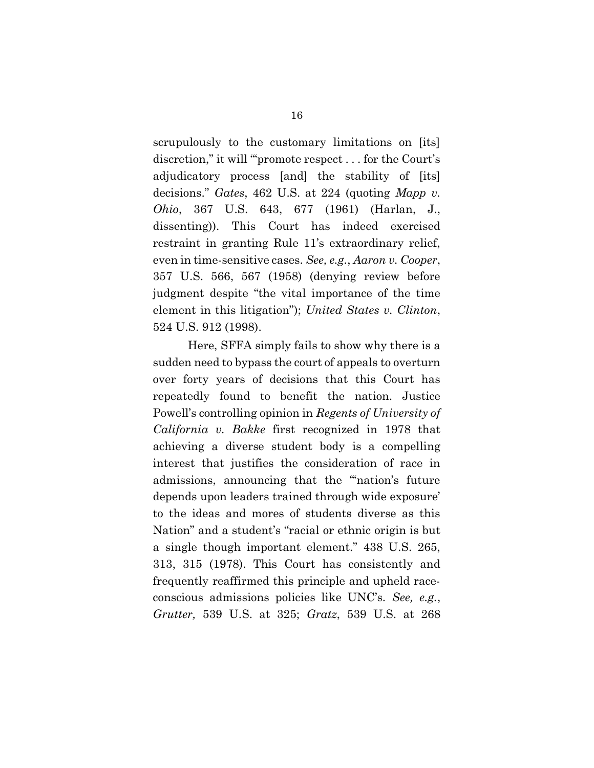scrupulously to the customary limitations on [its] discretion," it will "'promote respect . . . for the Court's adjudicatory process [and] the stability of [its] decisions." Gates, 462 U.S. at 224 (quoting Mapp v. Ohio, 367 U.S. 643, 677 (1961) (Harlan, J., dissenting)). This Court has indeed exercised restraint in granting Rule 11's extraordinary relief, even in time-sensitive cases. See, e.g., Aaron v. Cooper, 357 U.S. 566, 567 (1958) (denying review before judgment despite "the vital importance of the time element in this litigation"); United States v. Clinton, 524 U.S. 912 (1998).

Here, SFFA simply fails to show why there is a sudden need to bypass the court of appeals to overturn over forty years of decisions that this Court has repeatedly found to benefit the nation. Justice Powell's controlling opinion in Regents of University of California v. Bakke first recognized in 1978 that achieving a diverse student body is a compelling interest that justifies the consideration of race in admissions, announcing that the "'nation's future depends upon leaders trained through wide exposure' to the ideas and mores of students diverse as this Nation" and a student's "racial or ethnic origin is but a single though important element." 438 U.S. 265, 313, 315 (1978). This Court has consistently and frequently reaffirmed this principle and upheld raceconscious admissions policies like UNC's. See, e.g., Grutter, 539 U.S. at 325; Gratz, 539 U.S. at 268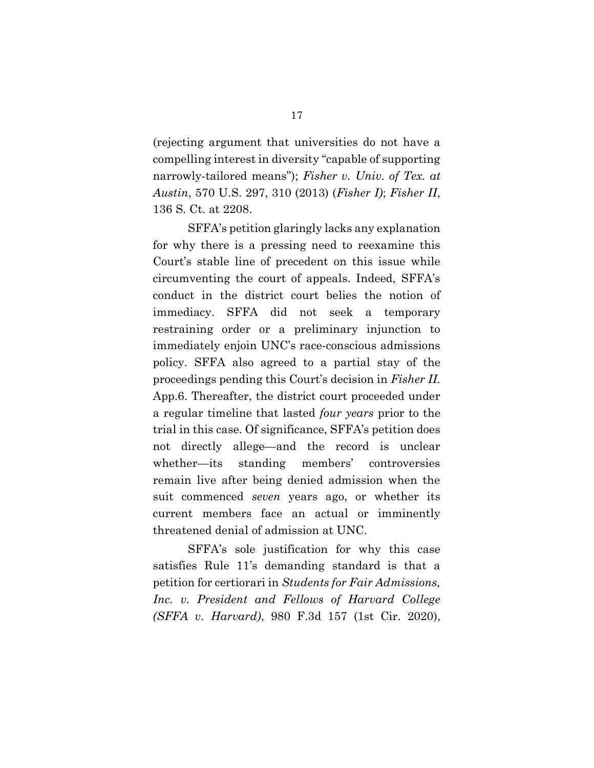(rejecting argument that universities do not have a compelling interest in diversity "capable of supporting narrowly-tailored means"); Fisher v. Univ. of Tex. at Austin, 570 U.S. 297, 310 (2013) (Fisher I); Fisher II, 136 S. Ct. at 2208.

SFFA's petition glaringly lacks any explanation for why there is a pressing need to reexamine this Court's stable line of precedent on this issue while circumventing the court of appeals. Indeed, SFFA's conduct in the district court belies the notion of immediacy. SFFA did not seek a temporary restraining order or a preliminary injunction to immediately enjoin UNC's race-conscious admissions policy. SFFA also agreed to a partial stay of the proceedings pending this Court's decision in Fisher II. App.6. Thereafter, the district court proceeded under a regular timeline that lasted four years prior to the trial in this case. Of significance, SFFA's petition does not directly allege—and the record is unclear whether—its standing members' controversies remain live after being denied admission when the suit commenced seven years ago, or whether its current members face an actual or imminently threatened denial of admission at UNC.

SFFA's sole justification for why this case satisfies Rule 11's demanding standard is that a petition for certiorari in Students for Fair Admissions, Inc. v. President and Fellows of Harvard College (SFFA v. Harvard), 980 F.3d 157 (1st Cir. 2020),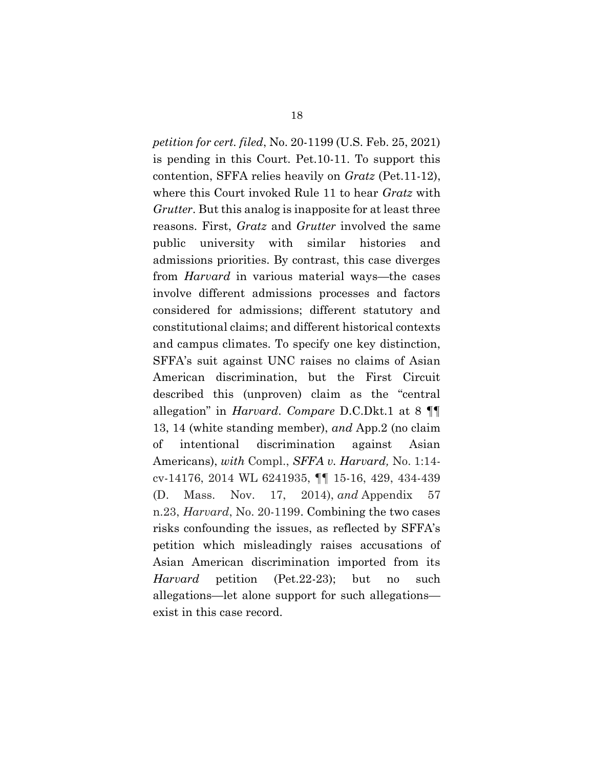petition for cert. filed, No. 20-1199 (U.S. Feb. 25, 2021) is pending in this Court. Pet.10-11. To support this contention, SFFA relies heavily on Gratz (Pet.11-12), where this Court invoked Rule 11 to hear *Gratz* with Grutter. But this analog is inapposite for at least three reasons. First, Gratz and Grutter involved the same public university with similar histories and admissions priorities. By contrast, this case diverges from Harvard in various material ways—the cases involve different admissions processes and factors considered for admissions; different statutory and constitutional claims; and different historical contexts and campus climates. To specify one key distinction, SFFA's suit against UNC raises no claims of Asian American discrimination, but the First Circuit described this (unproven) claim as the "central allegation" in Harvard. Compare D.C.Dkt.1 at 8 ¶¶ 13, 14 (white standing member), and App.2 (no claim of intentional discrimination against Asian Americans), with Compl., SFFA v. Harvard, No. 1:14cv-14176, 2014 WL 6241935, ¶¶ 15-16, 429, 434-439 (D. Mass. Nov. 17, 2014), and Appendix 57 n.23, Harvard, No. 20-1199. Combining the two cases risks confounding the issues, as reflected by SFFA's petition which misleadingly raises accusations of Asian American discrimination imported from its Harvard petition (Pet.22-23); but no such allegations—let alone support for such allegations exist in this case record.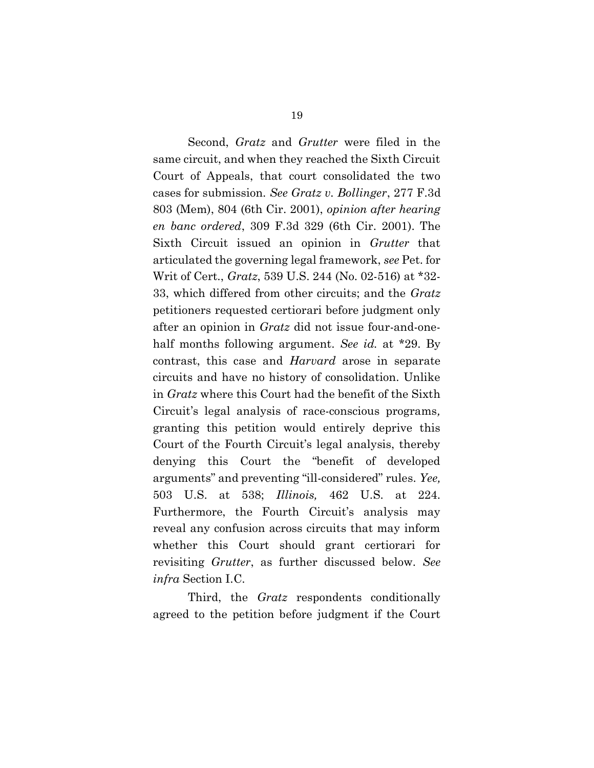Second, *Gratz* and *Grutter* were filed in the same circuit, and when they reached the Sixth Circuit Court of Appeals, that court consolidated the two cases for submission. See Gratz v. Bollinger, 277 F.3d 803 (Mem), 804 (6th Cir. 2001), opinion after hearing en banc ordered, 309 F.3d 329 (6th Cir. 2001). The Sixth Circuit issued an opinion in Grutter that articulated the governing legal framework, see Pet. for Writ of Cert., Gratz, 539 U.S. 244 (No. 02-516) at \*32- 33, which differed from other circuits; and the Gratz petitioners requested certiorari before judgment only after an opinion in Gratz did not issue four-and-onehalf months following argument. See id. at \*29. By contrast, this case and Harvard arose in separate circuits and have no history of consolidation. Unlike in Gratz where this Court had the benefit of the Sixth Circuit's legal analysis of race-conscious programs, granting this petition would entirely deprive this Court of the Fourth Circuit's legal analysis, thereby denying this Court the "benefit of developed arguments" and preventing "ill-considered" rules. Yee, 503 U.S. at 538; Illinois, 462 U.S. at 224. Furthermore, the Fourth Circuit's analysis may reveal any confusion across circuits that may inform whether this Court should grant certiorari for revisiting Grutter, as further discussed below. See infra Section I.C.

Third, the *Gratz* respondents conditionally agreed to the petition before judgment if the Court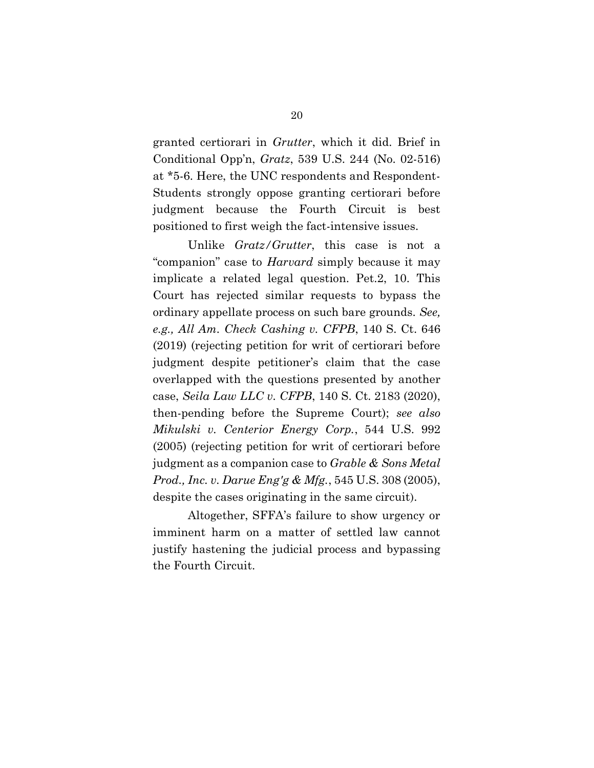granted certiorari in Grutter, which it did. Brief in Conditional Opp'n, Gratz, 539 U.S. 244 (No. 02-516) at \*5-6. Here, the UNC respondents and Respondent-Students strongly oppose granting certiorari before judgment because the Fourth Circuit is best positioned to first weigh the fact-intensive issues.

Unlike Gratz/Grutter, this case is not a "companion" case to Harvard simply because it may implicate a related legal question. Pet.2, 10. This Court has rejected similar requests to bypass the ordinary appellate process on such bare grounds. See, e.g., All Am. Check Cashing v. CFPB, 140 S. Ct. 646 (2019) (rejecting petition for writ of certiorari before judgment despite petitioner's claim that the case overlapped with the questions presented by another case, Seila Law LLC v. CFPB, 140 S. Ct. 2183 (2020), then-pending before the Supreme Court); see also Mikulski v. Centerior Energy Corp., 544 U.S. 992 (2005) (rejecting petition for writ of certiorari before judgment as a companion case to Grable & Sons Metal Prod., Inc. v. Darue Eng'g & Mfg., 545 U.S. 308 (2005), despite the cases originating in the same circuit).

Altogether, SFFA's failure to show urgency or imminent harm on a matter of settled law cannot justify hastening the judicial process and bypassing the Fourth Circuit.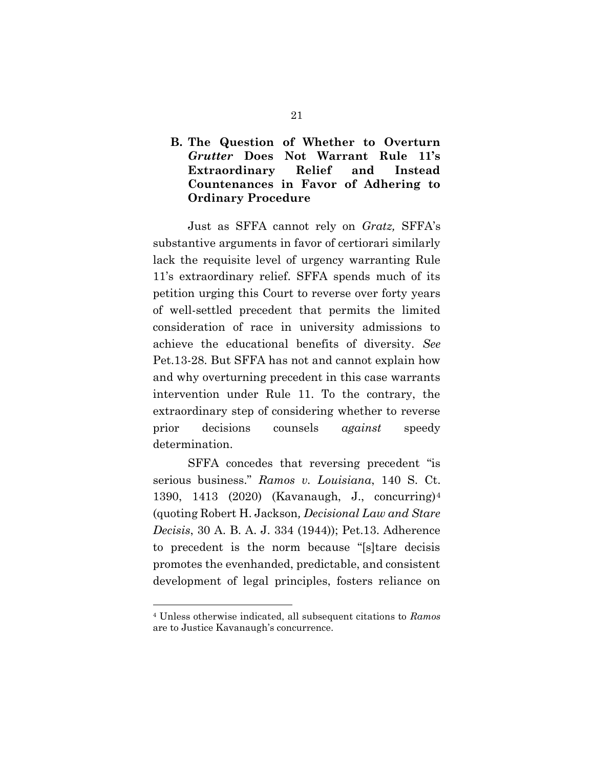# B. The Question of Whether to Overturn Grutter Does Not Warrant Rule 11's Extraordinary Relief and Instead Countenances in Favor of Adhering to Ordinary Procedure

Just as SFFA cannot rely on Gratz, SFFA's substantive arguments in favor of certiorari similarly lack the requisite level of urgency warranting Rule 11's extraordinary relief. SFFA spends much of its petition urging this Court to reverse over forty years of well-settled precedent that permits the limited consideration of race in university admissions to achieve the educational benefits of diversity. See Pet.13-28. But SFFA has not and cannot explain how and why overturning precedent in this case warrants intervention under Rule 11. To the contrary, the extraordinary step of considering whether to reverse prior decisions counsels *against* speedy determination.

SFFA concedes that reversing precedent "is serious business." Ramos v. Louisiana, 140 S. Ct. 1390, 1413 (2020) (Kavanaugh, J., concurring)<sup>4</sup> (quoting Robert H. Jackson, Decisional Law and Stare Decisis, 30 A. B. A. J. 334 (1944)); Pet.13. Adherence to precedent is the norm because "[s]tare decisis promotes the evenhanded, predictable, and consistent development of legal principles, fosters reliance on

<sup>4</sup> Unless otherwise indicated, all subsequent citations to Ramos are to Justice Kavanaugh's concurrence.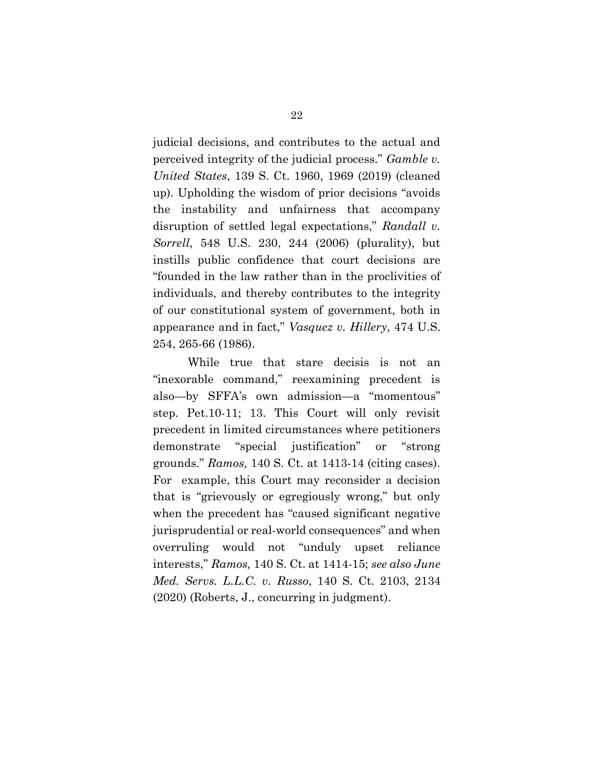judicial decisions, and contributes to the actual and perceived integrity of the judicial process." Gamble v. United States, 139 S. Ct. 1960, 1969 (2019) (cleaned up). Upholding the wisdom of prior decisions "avoids the instability and unfairness that accompany disruption of settled legal expectations," Randall v. Sorrell, 548 U.S. 230, 244 (2006) (plurality), but instills public confidence that court decisions are "founded in the law rather than in the proclivities of individuals, and thereby contributes to the integrity of our constitutional system of government, both in appearance and in fact," Vasquez v. Hillery, 474 U.S. 254, 265-66 (1986).

While true that stare decisis is not an "inexorable command," reexamining precedent is also—by SFFA's own admission—a "momentous" step. Pet.10-11; 13. This Court will only revisit precedent in limited circumstances where petitioners demonstrate "special justification" or "strong grounds." Ramos, 140 S. Ct. at 1413-14 (citing cases). For example, this Court may reconsider a decision that is "grievously or egregiously wrong," but only when the precedent has "caused significant negative jurisprudential or real-world consequences" and when overruling would not "unduly upset reliance interests," Ramos, 140 S. Ct. at 1414-15; see also June Med. Servs. L.L.C. v. Russo, 140 S. Ct. 2103, 2134 (2020) (Roberts, J., concurring in judgment).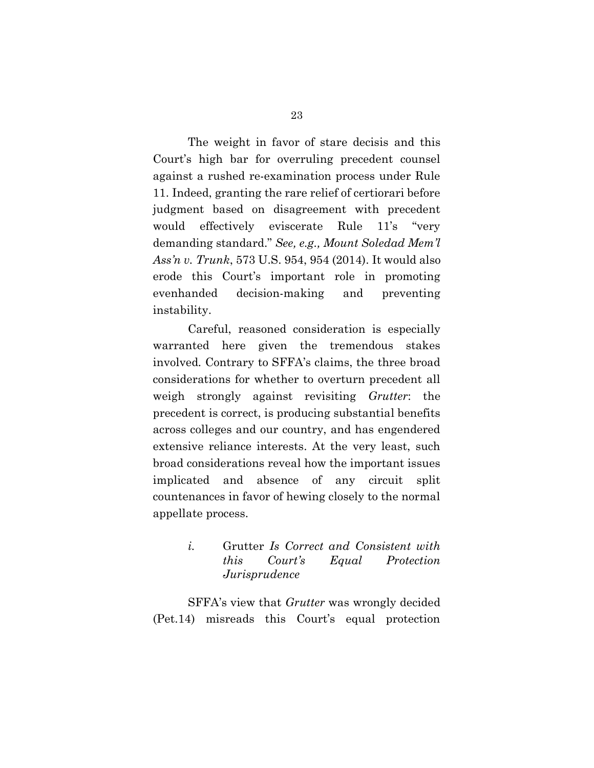The weight in favor of stare decisis and this Court's high bar for overruling precedent counsel against a rushed re-examination process under Rule 11. Indeed, granting the rare relief of certiorari before judgment based on disagreement with precedent would effectively eviscerate Rule 11's "very demanding standard." See, e.g., Mount Soledad Mem'l Ass'n v. Trunk, 573 U.S. 954, 954 (2014). It would also erode this Court's important role in promoting evenhanded decision-making and preventing instability.

Careful, reasoned consideration is especially warranted here given the tremendous stakes involved. Contrary to SFFA's claims, the three broad considerations for whether to overturn precedent all weigh strongly against revisiting Grutter: the precedent is correct, is producing substantial benefits across colleges and our country, and has engendered extensive reliance interests. At the very least, such broad considerations reveal how the important issues implicated and absence of any circuit split countenances in favor of hewing closely to the normal appellate process.

> i. Grutter Is Correct and Consistent with this Court's Equal Protection **Jurisprudence**

SFFA's view that Grutter was wrongly decided (Pet.14) misreads this Court's equal protection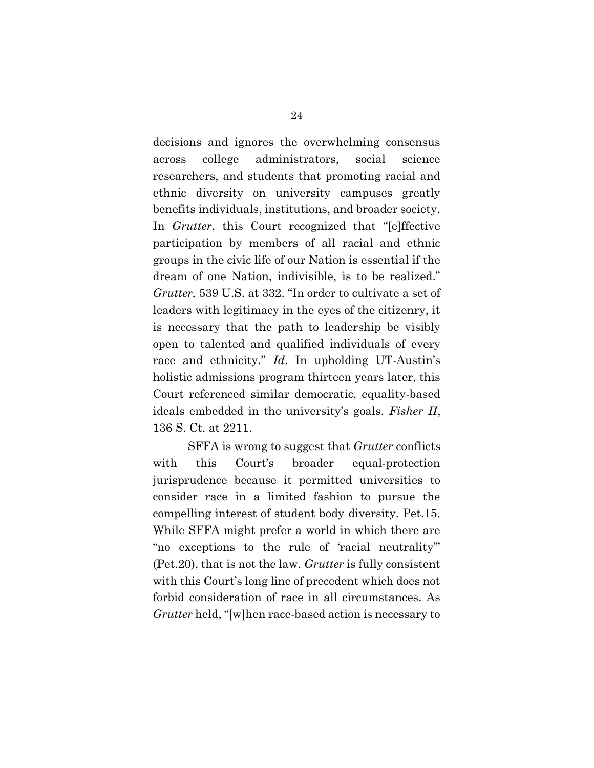decisions and ignores the overwhelming consensus across college administrators, social science researchers, and students that promoting racial and ethnic diversity on university campuses greatly benefits individuals, institutions, and broader society. In Grutter, this Court recognized that "[e]ffective participation by members of all racial and ethnic groups in the civic life of our Nation is essential if the dream of one Nation, indivisible, is to be realized." Grutter, 539 U.S. at 332. "In order to cultivate a set of leaders with legitimacy in the eyes of the citizenry, it is necessary that the path to leadership be visibly open to talented and qualified individuals of every race and ethnicity." Id. In upholding UT-Austin's holistic admissions program thirteen years later, this Court referenced similar democratic, equality-based ideals embedded in the university's goals. Fisher II, 136 S. Ct. at 2211.

SFFA is wrong to suggest that *Grutter* conflicts with this Court's broader equal-protection jurisprudence because it permitted universities to consider race in a limited fashion to pursue the compelling interest of student body diversity. Pet.15. While SFFA might prefer a world in which there are "no exceptions to the rule of 'racial neutrality'" (Pet.20), that is not the law. Grutter is fully consistent with this Court's long line of precedent which does not forbid consideration of race in all circumstances. As Grutter held, "[w]hen race-based action is necessary to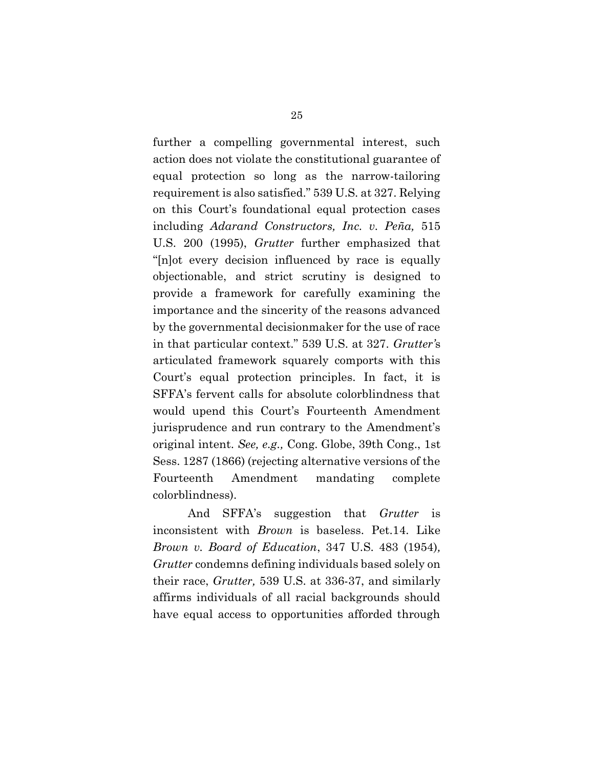further a compelling governmental interest, such action does not violate the constitutional guarantee of equal protection so long as the narrow-tailoring requirement is also satisfied." 539 U.S. at 327. Relying on this Court's foundational equal protection cases including Adarand Constructors, Inc. v. Peña, 515 U.S. 200 (1995), Grutter further emphasized that "[n]ot every decision influenced by race is equally objectionable, and strict scrutiny is designed to provide a framework for carefully examining the importance and the sincerity of the reasons advanced by the governmental decisionmaker for the use of race in that particular context." 539 U.S. at 327. Grutter's articulated framework squarely comports with this Court's equal protection principles. In fact, it is SFFA's fervent calls for absolute colorblindness that would upend this Court's Fourteenth Amendment jurisprudence and run contrary to the Amendment's original intent. See, e.g., Cong. Globe, 39th Cong., 1st Sess. 1287 (1866) (rejecting alternative versions of the Fourteenth Amendment mandating complete colorblindness).

And SFFA's suggestion that *Grutter* is inconsistent with Brown is baseless. Pet.14. Like Brown v. Board of Education, 347 U.S. 483 (1954), Grutter condemns defining individuals based solely on their race, Grutter, 539 U.S. at 336-37, and similarly affirms individuals of all racial backgrounds should have equal access to opportunities afforded through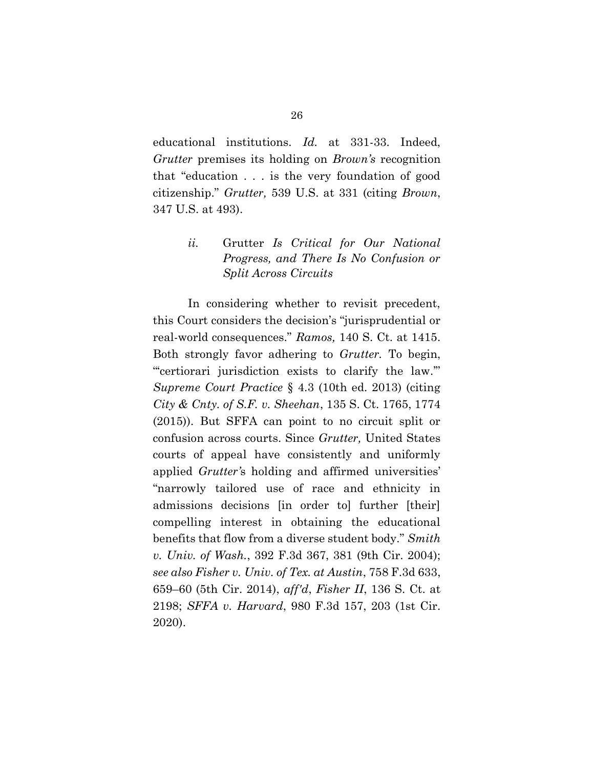educational institutions. Id. at 331-33. Indeed, Grutter premises its holding on Brown's recognition that "education . . . is the very foundation of good citizenship." Grutter, 539 U.S. at 331 (citing Brown, 347 U.S. at 493).

> ii. Grutter Is Critical for Our National Progress, and There Is No Confusion or Split Across Circuits

In considering whether to revisit precedent, this Court considers the decision's "jurisprudential or real-world consequences." Ramos, 140 S. Ct. at 1415. Both strongly favor adhering to Grutter. To begin, "'certiorari jurisdiction exists to clarify the law.'" Supreme Court Practice § 4.3 (10th ed. 2013) (citing City & Cnty. of S.F. v. Sheehan, 135 S. Ct. 1765, 1774 (2015)). But SFFA can point to no circuit split or confusion across courts. Since Grutter, United States courts of appeal have consistently and uniformly applied Grutter's holding and affirmed universities' "narrowly tailored use of race and ethnicity in admissions decisions [in order to] further [their] compelling interest in obtaining the educational benefits that flow from a diverse student body." Smith v. Univ. of Wash., 392 F.3d 367, 381 (9th Cir. 2004); see also Fisher v. Univ. of Tex. at Austin, 758 F.3d 633, 659–60 (5th Cir. 2014), aff'd, Fisher II, 136 S. Ct. at 2198; SFFA v. Harvard, 980 F.3d 157, 203 (1st Cir. 2020).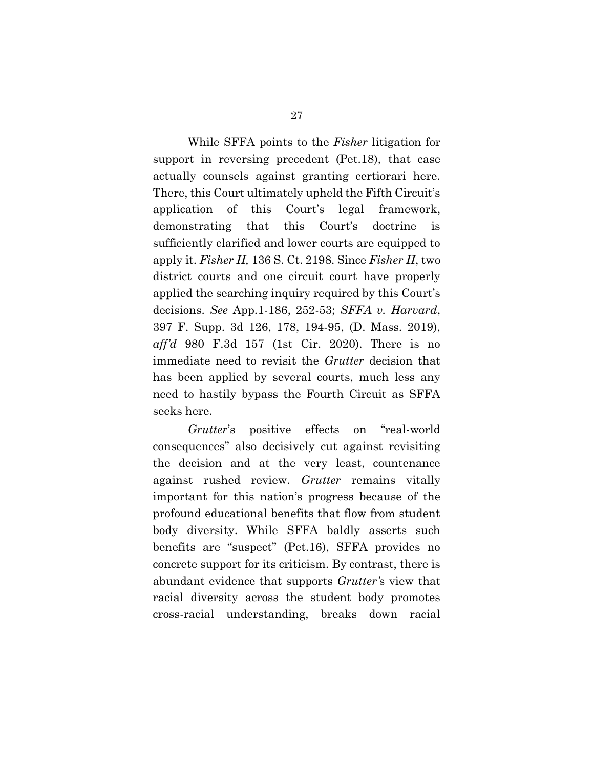While SFFA points to the Fisher litigation for support in reversing precedent (Pet.18), that case actually counsels against granting certiorari here. There, this Court ultimately upheld the Fifth Circuit's application of this Court's legal framework, demonstrating that this Court's doctrine is sufficiently clarified and lower courts are equipped to apply it. Fisher II, 136 S. Ct. 2198. Since Fisher II, two district courts and one circuit court have properly applied the searching inquiry required by this Court's decisions. See App.1-186, 252-53; SFFA v. Harvard, 397 F. Supp. 3d 126, 178, 194-95, (D. Mass. 2019), aff'd 980 F.3d 157 (1st Cir. 2020). There is no immediate need to revisit the Grutter decision that has been applied by several courts, much less any need to hastily bypass the Fourth Circuit as SFFA seeks here.

Grutter's positive effects on "real-world consequences" also decisively cut against revisiting the decision and at the very least, countenance against rushed review. Grutter remains vitally important for this nation's progress because of the profound educational benefits that flow from student body diversity. While SFFA baldly asserts such benefits are "suspect" (Pet.16), SFFA provides no concrete support for its criticism. By contrast, there is abundant evidence that supports Grutter's view that racial diversity across the student body promotes cross-racial understanding, breaks down racial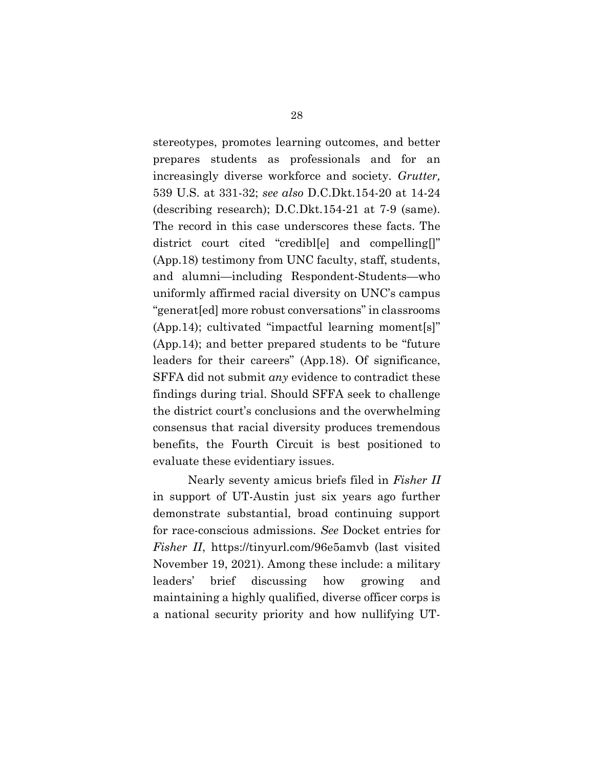stereotypes, promotes learning outcomes, and better prepares students as professionals and for an increasingly diverse workforce and society. Grutter, 539 U.S. at 331-32; see also D.C.Dkt.154-20 at 14-24 (describing research); D.C.Dkt.154-21 at 7-9 (same). The record in this case underscores these facts. The district court cited "credibl[e] and compelling[]" (App.18) testimony from UNC faculty, staff, students, and alumni—including Respondent-Students—who uniformly affirmed racial diversity on UNC's campus "generat[ed] more robust conversations" in classrooms (App.14); cultivated "impactful learning moment[s]" (App.14); and better prepared students to be "future leaders for their careers" (App.18). Of significance, SFFA did not submit *any* evidence to contradict these findings during trial. Should SFFA seek to challenge the district court's conclusions and the overwhelming consensus that racial diversity produces tremendous benefits, the Fourth Circuit is best positioned to evaluate these evidentiary issues.

Nearly seventy amicus briefs filed in Fisher II in support of UT-Austin just six years ago further demonstrate substantial, broad continuing support for race-conscious admissions. See Docket entries for Fisher II, https://tinyurl.com/96e5amvb (last visited November 19, 2021). Among these include: a military leaders' brief discussing how growing and maintaining a highly qualified, diverse officer corps is a national security priority and how nullifying UT-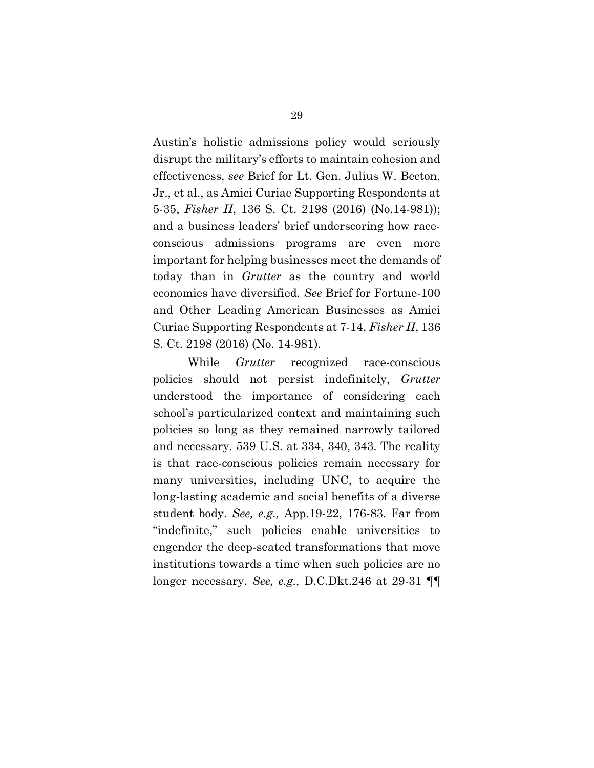Austin's holistic admissions policy would seriously disrupt the military's efforts to maintain cohesion and effectiveness, see Brief for Lt. Gen. Julius W. Becton, Jr., et al., as Amici Curiae Supporting Respondents at 5-35, Fisher II, 136 S. Ct. 2198 (2016) (No.14-981)); and a business leaders' brief underscoring how raceconscious admissions programs are even more important for helping businesses meet the demands of today than in Grutter as the country and world economies have diversified. See Brief for Fortune-100 and Other Leading American Businesses as Amici Curiae Supporting Respondents at 7-14, Fisher II, 136 S. Ct. 2198 (2016) (No. 14-981).

While *Grutter* recognized race-conscious policies should not persist indefinitely, Grutter understood the importance of considering each school's particularized context and maintaining such policies so long as they remained narrowly tailored and necessary. 539 U.S. at 334, 340, 343. The reality is that race-conscious policies remain necessary for many universities, including UNC, to acquire the long-lasting academic and social benefits of a diverse student body. See, e.g., App.19-22, 176-83. Far from "indefinite," such policies enable universities to engender the deep-seated transformations that move institutions towards a time when such policies are no longer necessary. See, e.g., D.C.Dkt.246 at 29-31 ¶¶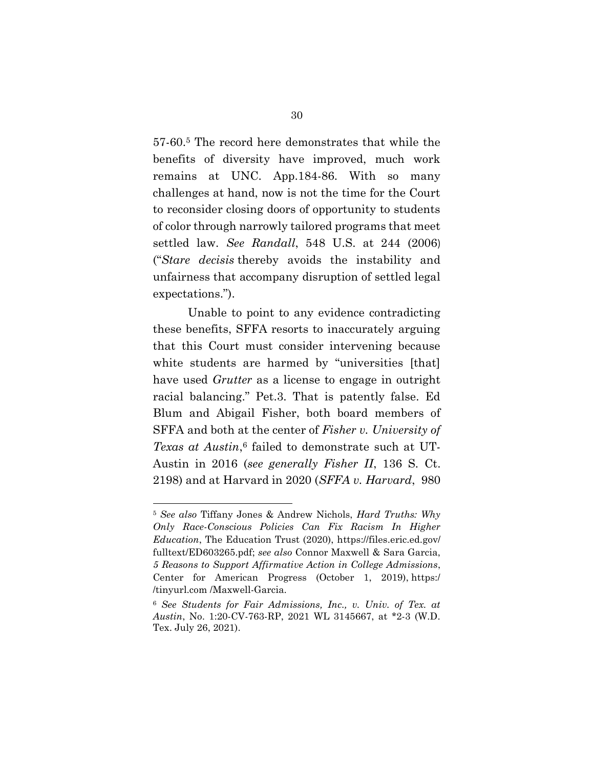57-60.5 The record here demonstrates that while the benefits of diversity have improved, much work remains at UNC. App.184-86. With so many challenges at hand, now is not the time for the Court to reconsider closing doors of opportunity to students of color through narrowly tailored programs that meet settled law. See Randall, 548 U.S. at 244 (2006) ("Stare decisis thereby avoids the instability and unfairness that accompany disruption of settled legal expectations.").

Unable to point to any evidence contradicting these benefits, SFFA resorts to inaccurately arguing that this Court must consider intervening because white students are harmed by "universities [that] have used *Grutter* as a license to engage in outright racial balancing." Pet.3. That is patently false. Ed Blum and Abigail Fisher, both board members of SFFA and both at the center of Fisher v. University of Texas at Austin, 6 failed to demonstrate such at UT-Austin in 2016 (see generally Fisher II, 136 S. Ct. 2198) and at Harvard in 2020 (SFFA v. Harvard, 980

<sup>5</sup> See also Tiffany Jones & Andrew Nichols, Hard Truths: Why Only Race-Conscious Policies Can Fix Racism In Higher Education, The Education Trust (2020), https://files.eric.ed.gov/ fulltext/ED603265.pdf; see also Connor Maxwell & Sara Garcia, 5 Reasons to Support Affirmative Action in College Admissions, Center for American Progress (October 1, 2019), https:/ /tinyurl.com /Maxwell-Garcia.

<sup>6</sup> See Students for Fair Admissions, Inc., v. Univ. of Tex. at Austin, No. 1:20-CV-763-RP, 2021 WL 3145667, at \*2-3 (W.D. Tex. July 26, 2021).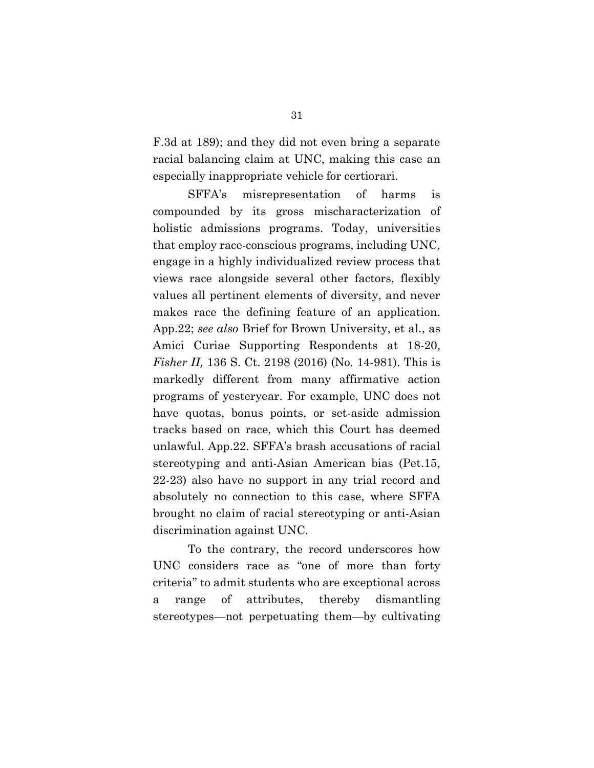F.3d at 189); and they did not even bring a separate racial balancing claim at UNC, making this case an especially inappropriate vehicle for certiorari.

SFFA's misrepresentation of harms is compounded by its gross mischaracterization of holistic admissions programs. Today, universities that employ race-conscious programs, including UNC, engage in a highly individualized review process that views race alongside several other factors, flexibly values all pertinent elements of diversity, and never makes race the defining feature of an application. App.22; see also Brief for Brown University, et al., as Amici Curiae Supporting Respondents at 18-20, Fisher II, 136 S. Ct. 2198 (2016) (No. 14-981). This is markedly different from many affirmative action programs of yesteryear. For example, UNC does not have quotas, bonus points, or set-aside admission tracks based on race, which this Court has deemed unlawful. App.22. SFFA's brash accusations of racial stereotyping and anti-Asian American bias (Pet.15, 22-23) also have no support in any trial record and absolutely no connection to this case, where SFFA brought no claim of racial stereotyping or anti-Asian discrimination against UNC.

To the contrary, the record underscores how UNC considers race as "one of more than forty criteria" to admit students who are exceptional across a range of attributes, thereby dismantling stereotypes—not perpetuating them—by cultivating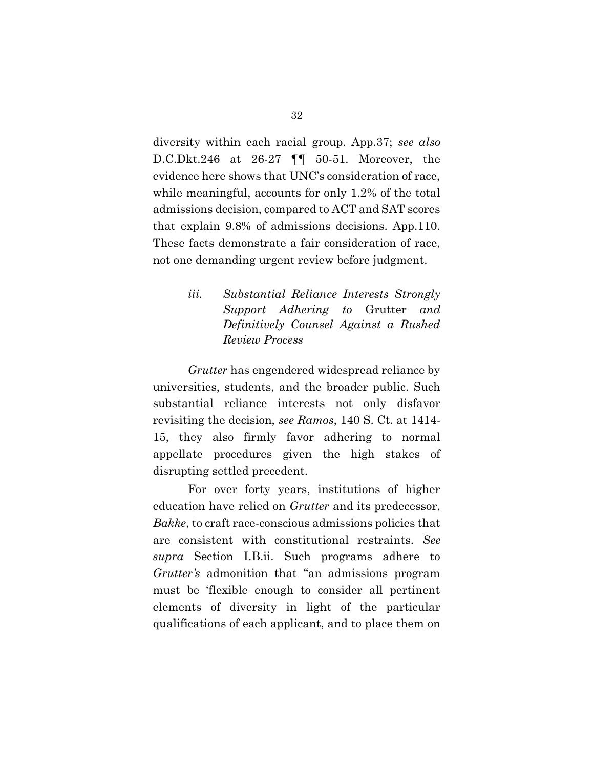diversity within each racial group. App.37; see also D.C.Dkt.246 at 26-27 ¶¶ 50-51. Moreover, the evidence here shows that UNC's consideration of race, while meaningful, accounts for only 1.2% of the total admissions decision, compared to ACT and SAT scores that explain 9.8% of admissions decisions. App.110. These facts demonstrate a fair consideration of race, not one demanding urgent review before judgment.

> iii. Substantial Reliance Interests Strongly Support Adhering to Grutter and Definitively Counsel Against a Rushed Review Process

Grutter has engendered widespread reliance by universities, students, and the broader public. Such substantial reliance interests not only disfavor revisiting the decision, see Ramos, 140 S. Ct. at 1414- 15, they also firmly favor adhering to normal appellate procedures given the high stakes of disrupting settled precedent.

For over forty years, institutions of higher education have relied on Grutter and its predecessor, Bakke, to craft race-conscious admissions policies that are consistent with constitutional restraints. See supra Section I.B.ii. Such programs adhere to Grutter's admonition that "an admissions program must be 'flexible enough to consider all pertinent elements of diversity in light of the particular qualifications of each applicant, and to place them on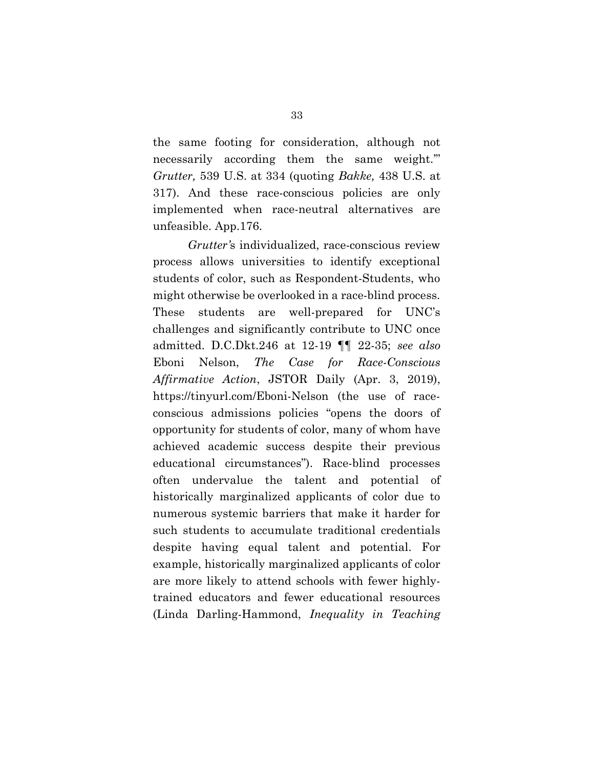the same footing for consideration, although not necessarily according them the same weight.'" Grutter, 539 U.S. at 334 (quoting Bakke, 438 U.S. at 317). And these race-conscious policies are only implemented when race-neutral alternatives are unfeasible. App.176.

Grutter's individualized, race-conscious review process allows universities to identify exceptional students of color, such as Respondent-Students, who might otherwise be overlooked in a race-blind process. These students are well-prepared for UNC's challenges and significantly contribute to UNC once admitted. D.C.Dkt.246 at 12-19 ¶¶ 22-35; see also Eboni Nelson, The Case for Race-Conscious Affirmative Action, JSTOR Daily (Apr. 3, 2019), https://tinyurl.com/Eboni-Nelson (the use of raceconscious admissions policies "opens the doors of opportunity for students of color, many of whom have achieved academic success despite their previous educational circumstances"). Race-blind processes often undervalue the talent and potential of historically marginalized applicants of color due to numerous systemic barriers that make it harder for such students to accumulate traditional credentials despite having equal talent and potential. For example, historically marginalized applicants of color are more likely to attend schools with fewer highlytrained educators and fewer educational resources (Linda Darling-Hammond, Inequality in Teaching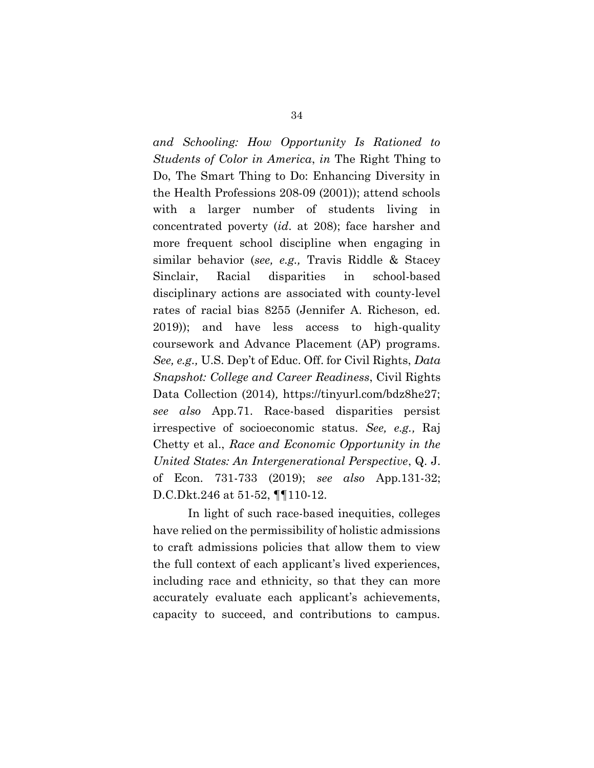and Schooling: How Opportunity Is Rationed to Students of Color in America, in The Right Thing to Do, The Smart Thing to Do: Enhancing Diversity in the Health Professions 208-09 (2001)); attend schools with a larger number of students living in concentrated poverty (id. at 208); face harsher and more frequent school discipline when engaging in similar behavior (see, e.g., Travis Riddle & Stacey Sinclair, Racial disparities in school-based disciplinary actions are associated with county-level rates of racial bias 8255 (Jennifer A. Richeson, ed. 2019)); and have less access to high-quality coursework and Advance Placement (AP) programs. See, e.g., U.S. Dep't of Educ. Off. for Civil Rights, Data Snapshot: College and Career Readiness, Civil Rights Data Collection (2014), https://tinyurl.com/bdz8he27; see also App.71. Race-based disparities persist irrespective of socioeconomic status. See, e.g., Raj Chetty et al., Race and Economic Opportunity in the United States: An Intergenerational Perspective, Q. J. of Econ. 731-733 (2019); see also App.131-32; D.C.Dkt.246 at 51-52, ¶¶110-12.

In light of such race-based inequities, colleges have relied on the permissibility of holistic admissions to craft admissions policies that allow them to view the full context of each applicant's lived experiences, including race and ethnicity, so that they can more accurately evaluate each applicant's achievements, capacity to succeed, and contributions to campus.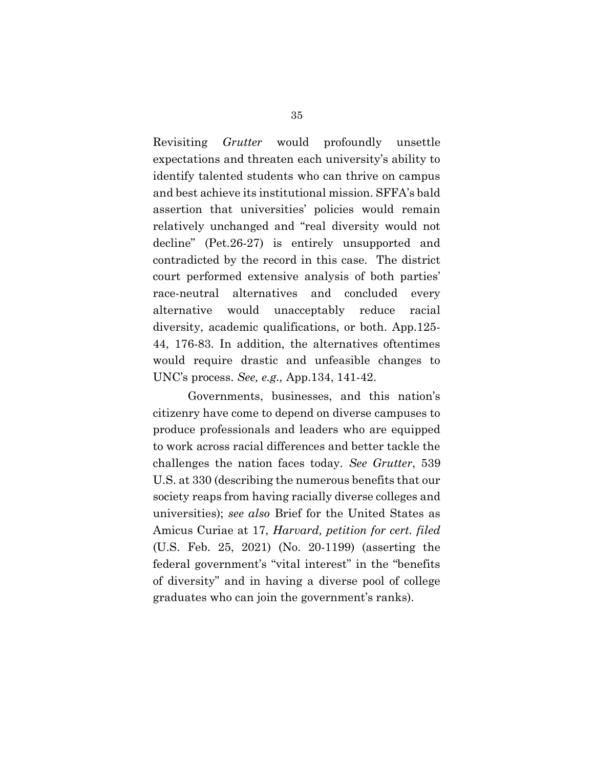Revisiting Grutter would profoundly unsettle expectations and threaten each university's ability to identify talented students who can thrive on campus and best achieve its institutional mission. SFFA's bald assertion that universities' policies would remain relatively unchanged and "real diversity would not decline" (Pet.26-27) is entirely unsupported and contradicted by the record in this case. The district court performed extensive analysis of both parties' race-neutral alternatives and concluded every alternative would unacceptably reduce racial diversity, academic qualifications, or both. App.125- 44, 176-83. In addition, the alternatives oftentimes would require drastic and unfeasible changes to UNC's process. See, e.g., App.134, 141-42.

Governments, businesses, and this nation's citizenry have come to depend on diverse campuses to produce professionals and leaders who are equipped to work across racial differences and better tackle the challenges the nation faces today. See Grutter, 539 U.S. at 330 (describing the numerous benefits that our society reaps from having racially diverse colleges and universities); see also Brief for the United States as Amicus Curiae at 17, Harvard, petition for cert. filed (U.S. Feb. 25, 2021) (No. 20-1199) (asserting the federal government's "vital interest" in the "benefits of diversity" and in having a diverse pool of college graduates who can join the government's ranks).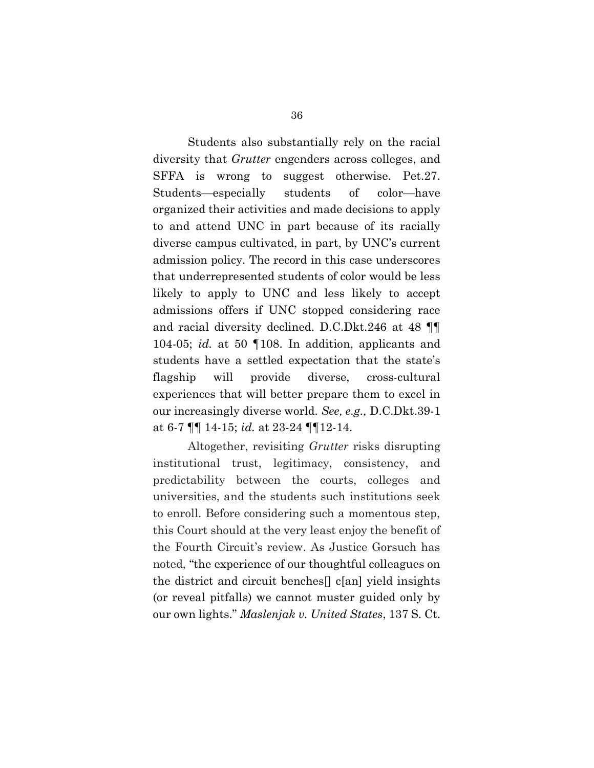Students also substantially rely on the racial diversity that Grutter engenders across colleges, and SFFA is wrong to suggest otherwise. Pet.27. Students—especially students of color—have organized their activities and made decisions to apply to and attend UNC in part because of its racially diverse campus cultivated, in part, by UNC's current admission policy. The record in this case underscores that underrepresented students of color would be less likely to apply to UNC and less likely to accept admissions offers if UNC stopped considering race and racial diversity declined. D.C.Dkt.246 at 48 ¶¶ 104-05; id. at 50 ¶108. In addition, applicants and students have a settled expectation that the state's flagship will provide diverse, cross-cultural experiences that will better prepare them to excel in our increasingly diverse world. See, e.g., D.C.Dkt.39-1 at 6-7 ¶¶ 14-15; id. at 23-24 ¶¶12-14.

Altogether, revisiting Grutter risks disrupting institutional trust, legitimacy, consistency, and predictability between the courts, colleges and universities, and the students such institutions seek to enroll. Before considering such a momentous step, this Court should at the very least enjoy the benefit of the Fourth Circuit's review. As Justice Gorsuch has noted, "the experience of our thoughtful colleagues on the district and circuit benches[] c[an] yield insights (or reveal pitfalls) we cannot muster guided only by our own lights." Maslenjak v. United States, 137 S. Ct.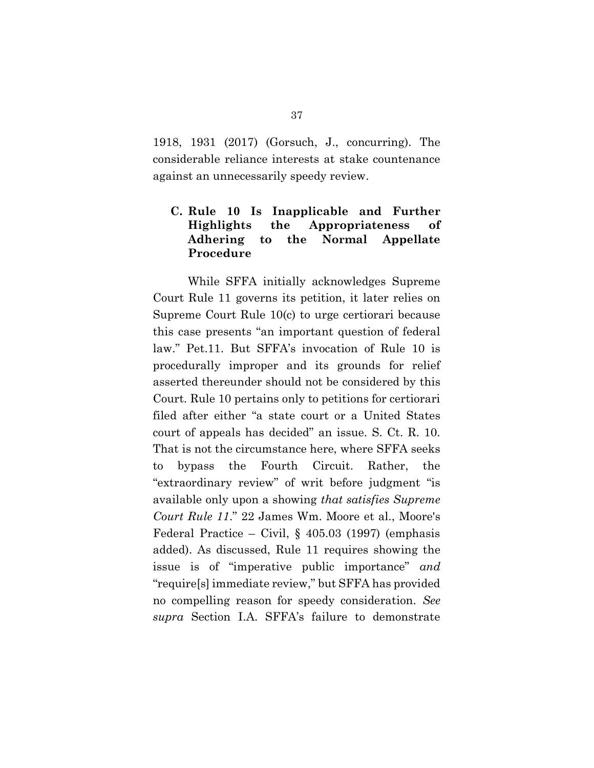1918, 1931 (2017) (Gorsuch, J., concurring). The considerable reliance interests at stake countenance against an unnecessarily speedy review.

# C. Rule 10 Is Inapplicable and Further Highlights the Appropriateness of Adhering to the Normal Appellate Procedure

 While SFFA initially acknowledges Supreme Court Rule 11 governs its petition, it later relies on Supreme Court Rule 10(c) to urge certiorari because this case presents "an important question of federal law." Pet.11. But SFFA's invocation of Rule 10 is procedurally improper and its grounds for relief asserted thereunder should not be considered by this Court. Rule 10 pertains only to petitions for certiorari filed after either "a state court or a United States court of appeals has decided" an issue. S. Ct. R. 10. That is not the circumstance here, where SFFA seeks to bypass the Fourth Circuit. Rather, the "extraordinary review" of writ before judgment "is available only upon a showing that satisfies Supreme Court Rule 11." 22 James Wm. Moore et al., Moore's Federal Practice – Civil,  $\S$  405.03 (1997) (emphasis added). As discussed, Rule 11 requires showing the issue is of "imperative public importance" and "require[s] immediate review," but SFFA has provided no compelling reason for speedy consideration. See supra Section I.A. SFFA's failure to demonstrate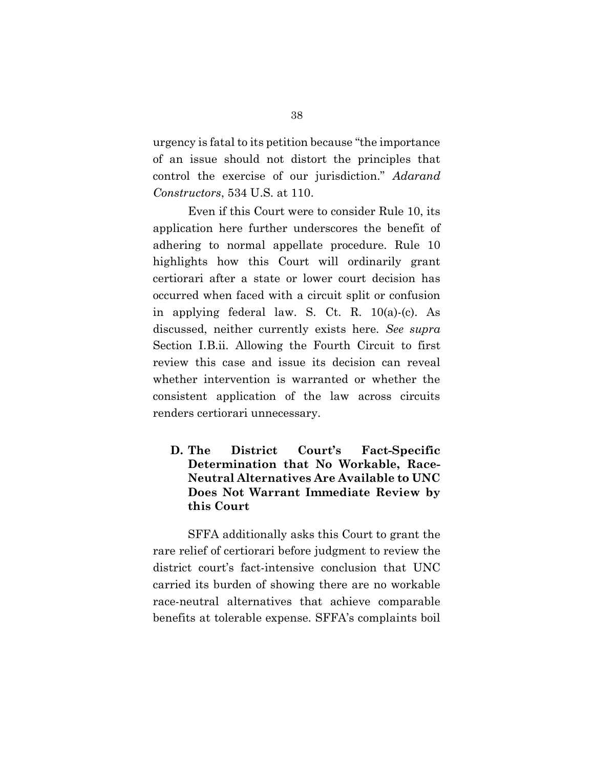urgency is fatal to its petition because "the importance of an issue should not distort the principles that control the exercise of our jurisdiction." Adarand Constructors, 534 U.S. at 110.

 Even if this Court were to consider Rule 10, its application here further underscores the benefit of adhering to normal appellate procedure. Rule 10 highlights how this Court will ordinarily grant certiorari after a state or lower court decision has occurred when faced with a circuit split or confusion in applying federal law. S. Ct. R. 10(a)-(c). As discussed, neither currently exists here. See supra Section I.B.ii. Allowing the Fourth Circuit to first review this case and issue its decision can reveal whether intervention is warranted or whether the consistent application of the law across circuits renders certiorari unnecessary.

# D. The District Court's Fact-Specific Determination that No Workable, Race-Neutral Alternatives Are Available to UNC Does Not Warrant Immediate Review by this Court

SFFA additionally asks this Court to grant the rare relief of certiorari before judgment to review the district court's fact-intensive conclusion that UNC carried its burden of showing there are no workable race-neutral alternatives that achieve comparable benefits at tolerable expense. SFFA's complaints boil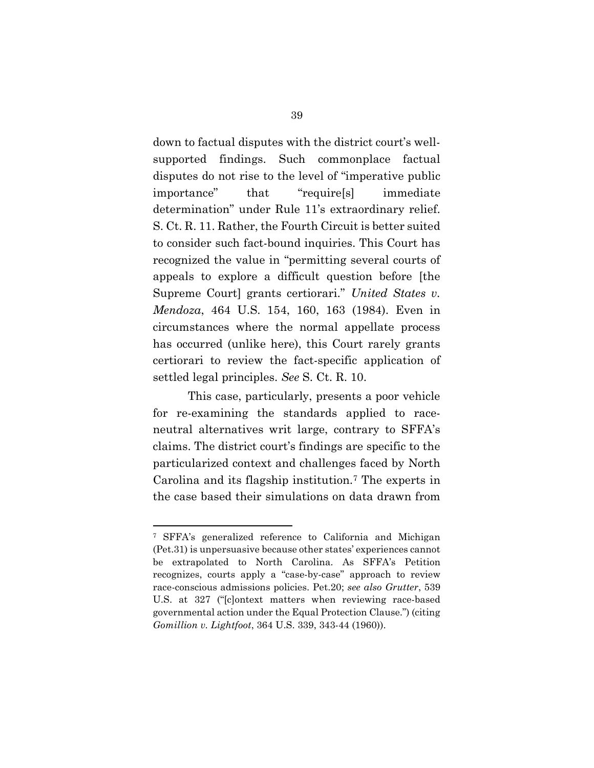down to factual disputes with the district court's wellsupported findings. Such commonplace factual disputes do not rise to the level of "imperative public importance" that "require[s] immediate determination" under Rule 11's extraordinary relief. S. Ct. R. 11. Rather, the Fourth Circuit is better suited to consider such fact-bound inquiries. This Court has recognized the value in "permitting several courts of appeals to explore a difficult question before [the Supreme Court] grants certiorari." United States v. Mendoza, 464 U.S. 154, 160, 163 (1984). Even in circumstances where the normal appellate process has occurred (unlike here), this Court rarely grants certiorari to review the fact-specific application of settled legal principles. See S. Ct. R. 10.

This case, particularly, presents a poor vehicle for re-examining the standards applied to raceneutral alternatives writ large, contrary to SFFA's claims. The district court's findings are specific to the particularized context and challenges faced by North Carolina and its flagship institution.7 The experts in the case based their simulations on data drawn from

<sup>7</sup> SFFA's generalized reference to California and Michigan (Pet.31) is unpersuasive because other states' experiences cannot be extrapolated to North Carolina. As SFFA's Petition recognizes, courts apply a "case-by-case" approach to review race-conscious admissions policies. Pet.20; see also Grutter, 539 U.S. at 327 ("[c]ontext matters when reviewing race-based governmental action under the Equal Protection Clause.") (citing Gomillion v. Lightfoot, 364 U.S. 339, 343-44 (1960)).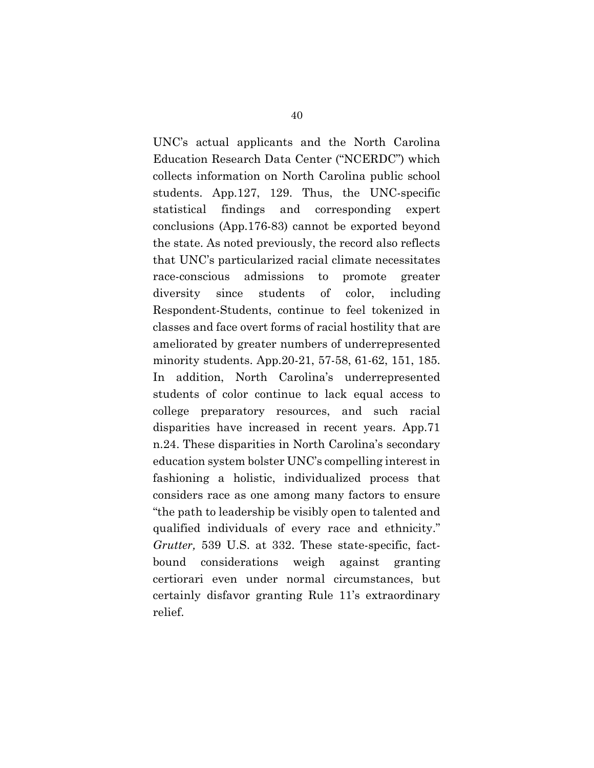UNC's actual applicants and the North Carolina Education Research Data Center ("NCERDC") which collects information on North Carolina public school students. App.127, 129. Thus, the UNC-specific statistical findings and corresponding expert conclusions (App.176-83) cannot be exported beyond the state. As noted previously, the record also reflects that UNC's particularized racial climate necessitates race-conscious admissions to promote greater diversity since students of color, including Respondent-Students, continue to feel tokenized in classes and face overt forms of racial hostility that are ameliorated by greater numbers of underrepresented minority students. App.20-21, 57-58, 61-62, 151, 185. In addition, North Carolina's underrepresented students of color continue to lack equal access to college preparatory resources, and such racial disparities have increased in recent years. App.71 n.24. These disparities in North Carolina's secondary education system bolster UNC's compelling interest in fashioning a holistic, individualized process that considers race as one among many factors to ensure "the path to leadership be visibly open to talented and qualified individuals of every race and ethnicity." Grutter, 539 U.S. at 332. These state-specific, factbound considerations weigh against granting certiorari even under normal circumstances, but certainly disfavor granting Rule 11's extraordinary relief.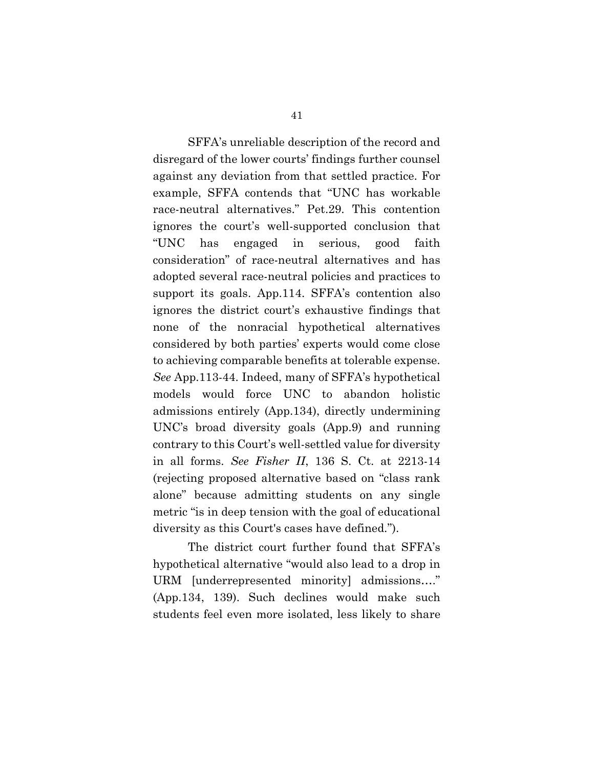SFFA's unreliable description of the record and disregard of the lower courts' findings further counsel against any deviation from that settled practice. For example, SFFA contends that "UNC has workable race-neutral alternatives." Pet.29. This contention ignores the court's well-supported conclusion that "UNC has engaged in serious, good faith consideration" of race-neutral alternatives and has adopted several race-neutral policies and practices to support its goals. App.114. SFFA's contention also ignores the district court's exhaustive findings that none of the nonracial hypothetical alternatives considered by both parties' experts would come close to achieving comparable benefits at tolerable expense. See App.113-44. Indeed, many of SFFA's hypothetical models would force UNC to abandon holistic admissions entirely (App.134), directly undermining UNC's broad diversity goals (App.9) and running contrary to this Court's well-settled value for diversity in all forms. See Fisher II, 136 S. Ct. at 2213-14 (rejecting proposed alternative based on "class rank alone" because admitting students on any single metric "is in deep tension with the goal of educational diversity as this Court's cases have defined.").

The district court further found that SFFA's hypothetical alternative "would also lead to a drop in URM [underrepresented minority] admissions…." (App.134, 139). Such declines would make such students feel even more isolated, less likely to share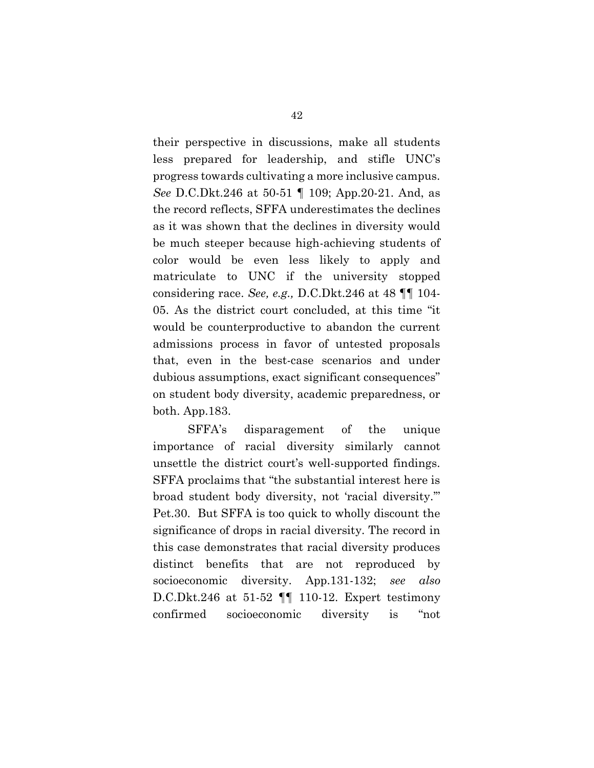their perspective in discussions, make all students less prepared for leadership, and stifle UNC's progress towards cultivating a more inclusive campus. See D.C.Dkt.246 at 50-51 ¶ 109; App.20-21. And, as the record reflects, SFFA underestimates the declines as it was shown that the declines in diversity would be much steeper because high-achieving students of color would be even less likely to apply and matriculate to UNC if the university stopped considering race. See, e.g., D.C.Dkt.246 at 48 ¶¶ 104- 05. As the district court concluded, at this time "it would be counterproductive to abandon the current admissions process in favor of untested proposals that, even in the best-case scenarios and under dubious assumptions, exact significant consequences" on student body diversity, academic preparedness, or both. App.183.

SFFA's disparagement of the unique importance of racial diversity similarly cannot unsettle the district court's well-supported findings. SFFA proclaims that "the substantial interest here is broad student body diversity, not 'racial diversity.'" Pet.30. But SFFA is too quick to wholly discount the significance of drops in racial diversity. The record in this case demonstrates that racial diversity produces distinct benefits that are not reproduced by socioeconomic diversity. App.131-132; see also D.C.Dkt.246 at 51-52 ¶¶ 110-12. Expert testimony confirmed socioeconomic diversity is "not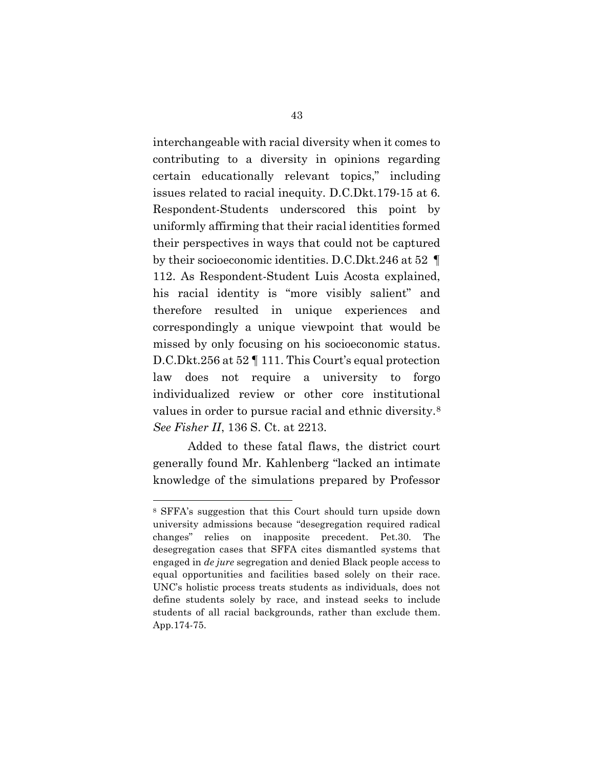interchangeable with racial diversity when it comes to contributing to a diversity in opinions regarding certain educationally relevant topics," including issues related to racial inequity. D.C.Dkt.179-15 at 6. Respondent-Students underscored this point by uniformly affirming that their racial identities formed their perspectives in ways that could not be captured by their socioeconomic identities. D.C.Dkt.246 at 52 ¶ 112. As Respondent-Student Luis Acosta explained, his racial identity is "more visibly salient" and therefore resulted in unique experiences and correspondingly a unique viewpoint that would be missed by only focusing on his socioeconomic status. D.C.Dkt.256 at 52 ¶ 111. This Court's equal protection law does not require a university to forgo individualized review or other core institutional values in order to pursue racial and ethnic diversity.<sup>8</sup> See Fisher II, 136 S. Ct. at 2213.

Added to these fatal flaws, the district court generally found Mr. Kahlenberg "lacked an intimate knowledge of the simulations prepared by Professor

<sup>8</sup> SFFA's suggestion that this Court should turn upside down university admissions because "desegregation required radical changes" relies on inapposite precedent. Pet.30. The desegregation cases that SFFA cites dismantled systems that engaged in de jure segregation and denied Black people access to equal opportunities and facilities based solely on their race. UNC's holistic process treats students as individuals, does not define students solely by race, and instead seeks to include students of all racial backgrounds, rather than exclude them. App.174-75.